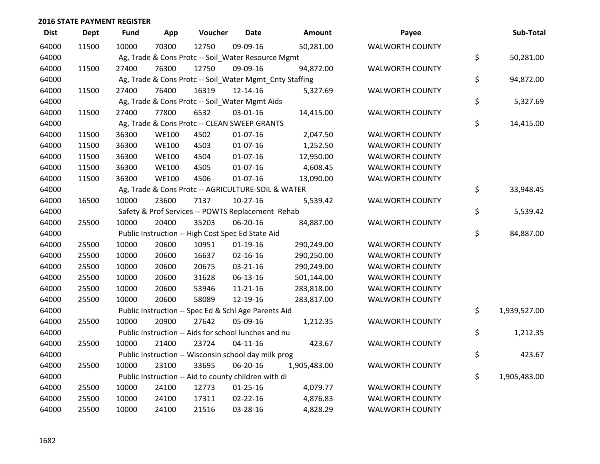| <b>Dist</b> | <b>Dept</b> | <b>Fund</b> | App          | Voucher                                                 | <b>Date</b>    | Amount       | Payee                  | Sub-Total          |
|-------------|-------------|-------------|--------------|---------------------------------------------------------|----------------|--------------|------------------------|--------------------|
| 64000       | 11500       | 10000       | 70300        | 12750                                                   | 09-09-16       | 50,281.00    | <b>WALWORTH COUNTY</b> |                    |
| 64000       |             |             |              | Ag, Trade & Cons Protc -- Soil_Water Resource Mgmt      |                |              |                        | \$<br>50,281.00    |
| 64000       | 11500       | 27400       | 76300        | 12750                                                   | 09-09-16       | 94,872.00    | <b>WALWORTH COUNTY</b> |                    |
| 64000       |             |             |              | Ag, Trade & Cons Protc -- Soil_Water Mgmt_Cnty Staffing |                |              |                        | \$<br>94,872.00    |
| 64000       | 11500       | 27400       | 76400        | 16319                                                   | 12-14-16       | 5,327.69     | <b>WALWORTH COUNTY</b> |                    |
| 64000       |             |             |              | Ag, Trade & Cons Protc -- Soil_Water Mgmt Aids          |                |              |                        | \$<br>5,327.69     |
| 64000       | 11500       | 27400       | 77800        | 6532                                                    | 03-01-16       | 14,415.00    | <b>WALWORTH COUNTY</b> |                    |
| 64000       |             |             |              | Ag, Trade & Cons Protc -- CLEAN SWEEP GRANTS            |                |              |                        | \$<br>14,415.00    |
| 64000       | 11500       | 36300       | <b>WE100</b> | 4502                                                    | $01-07-16$     | 2,047.50     | <b>WALWORTH COUNTY</b> |                    |
| 64000       | 11500       | 36300       | <b>WE100</b> | 4503                                                    | $01-07-16$     | 1,252.50     | <b>WALWORTH COUNTY</b> |                    |
| 64000       | 11500       | 36300       | <b>WE100</b> | 4504                                                    | $01 - 07 - 16$ | 12,950.00    | <b>WALWORTH COUNTY</b> |                    |
| 64000       | 11500       | 36300       | <b>WE100</b> | 4505                                                    | 01-07-16       | 4,608.45     | <b>WALWORTH COUNTY</b> |                    |
| 64000       | 11500       | 36300       | <b>WE100</b> | 4506                                                    | 01-07-16       | 13,090.00    | WALWORTH COUNTY        |                    |
| 64000       |             |             |              | Ag, Trade & Cons Protc -- AGRICULTURE-SOIL & WATER      |                |              |                        | \$<br>33,948.45    |
| 64000       | 16500       | 10000       | 23600        | 7137                                                    | $10-27-16$     | 5,539.42     | <b>WALWORTH COUNTY</b> |                    |
| 64000       |             |             |              | Safety & Prof Services -- POWTS Replacement Rehab       |                |              |                        | \$<br>5,539.42     |
| 64000       | 25500       | 10000       | 20400        | 35203                                                   | 06-20-16       | 84,887.00    | <b>WALWORTH COUNTY</b> |                    |
| 64000       |             |             |              | Public Instruction -- High Cost Spec Ed State Aid       |                |              |                        | \$<br>84,887.00    |
| 64000       | 25500       | 10000       | 20600        | 10951                                                   | $01-19-16$     | 290,249.00   | <b>WALWORTH COUNTY</b> |                    |
| 64000       | 25500       | 10000       | 20600        | 16637                                                   | $02 - 16 - 16$ | 290,250.00   | <b>WALWORTH COUNTY</b> |                    |
| 64000       | 25500       | 10000       | 20600        | 20675                                                   | 03-21-16       | 290,249.00   | <b>WALWORTH COUNTY</b> |                    |
| 64000       | 25500       | 10000       | 20600        | 31628                                                   | 06-13-16       | 501,144.00   | <b>WALWORTH COUNTY</b> |                    |
| 64000       | 25500       | 10000       | 20600        | 53946                                                   | $11 - 21 - 16$ | 283,818.00   | <b>WALWORTH COUNTY</b> |                    |
| 64000       | 25500       | 10000       | 20600        | 58089                                                   | 12-19-16       | 283,817.00   | <b>WALWORTH COUNTY</b> |                    |
| 64000       |             |             |              | Public Instruction -- Spec Ed & Schl Age Parents Aid    |                |              |                        | \$<br>1,939,527.00 |
| 64000       | 25500       | 10000       | 20900        | 27642                                                   | 05-09-16       | 1,212.35     | <b>WALWORTH COUNTY</b> |                    |
| 64000       |             |             |              | Public Instruction -- Aids for school lunches and nu    |                |              |                        | \$<br>1,212.35     |
| 64000       | 25500       | 10000       | 21400        | 23724                                                   | $04 - 11 - 16$ | 423.67       | <b>WALWORTH COUNTY</b> |                    |
| 64000       |             |             |              | Public Instruction -- Wisconsin school day milk prog    |                |              |                        | \$<br>423.67       |
| 64000       | 25500       | 10000       | 23100        | 33695                                                   | 06-20-16       | 1,905,483.00 | <b>WALWORTH COUNTY</b> |                    |
| 64000       |             |             |              | Public Instruction -- Aid to county children with di    |                |              |                        | \$<br>1,905,483.00 |
| 64000       | 25500       | 10000       | 24100        | 12773                                                   | $01 - 25 - 16$ | 4,079.77     | <b>WALWORTH COUNTY</b> |                    |
| 64000       | 25500       | 10000       | 24100        | 17311                                                   | $02 - 22 - 16$ | 4,876.83     | <b>WALWORTH COUNTY</b> |                    |
| 64000       | 25500       | 10000       | 24100        | 21516                                                   | 03-28-16       | 4,828.29     | <b>WALWORTH COUNTY</b> |                    |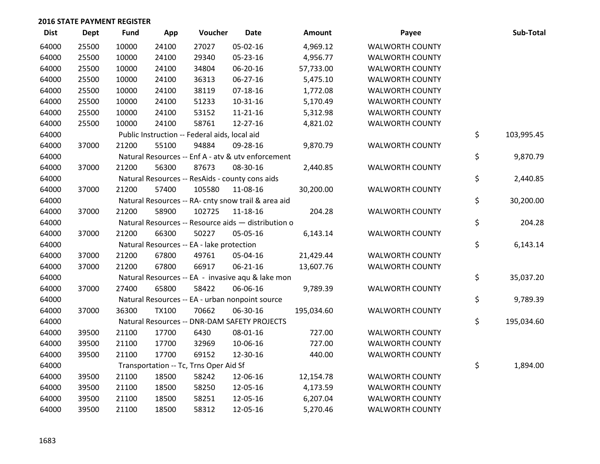| <b>Dist</b> | <b>Dept</b> | <b>Fund</b> | App          | Voucher                                             | <b>Date</b>    | <b>Amount</b> | Payee                  | Sub-Total        |
|-------------|-------------|-------------|--------------|-----------------------------------------------------|----------------|---------------|------------------------|------------------|
| 64000       | 25500       | 10000       | 24100        | 27027                                               | 05-02-16       | 4,969.12      | <b>WALWORTH COUNTY</b> |                  |
| 64000       | 25500       | 10000       | 24100        | 29340                                               | 05-23-16       | 4,956.77      | <b>WALWORTH COUNTY</b> |                  |
| 64000       | 25500       | 10000       | 24100        | 34804                                               | 06-20-16       | 57,733.00     | <b>WALWORTH COUNTY</b> |                  |
| 64000       | 25500       | 10000       | 24100        | 36313                                               | $06 - 27 - 16$ | 5,475.10      | <b>WALWORTH COUNTY</b> |                  |
| 64000       | 25500       | 10000       | 24100        | 38119                                               | $07 - 18 - 16$ | 1,772.08      | <b>WALWORTH COUNTY</b> |                  |
| 64000       | 25500       | 10000       | 24100        | 51233                                               | 10-31-16       | 5,170.49      | <b>WALWORTH COUNTY</b> |                  |
| 64000       | 25500       | 10000       | 24100        | 53152                                               | $11 - 21 - 16$ | 5,312.98      | <b>WALWORTH COUNTY</b> |                  |
| 64000       | 25500       | 10000       | 24100        | 58761                                               | 12-27-16       | 4,821.02      | <b>WALWORTH COUNTY</b> |                  |
| 64000       |             |             |              | Public Instruction -- Federal aids, local aid       |                |               |                        | \$<br>103,995.45 |
| 64000       | 37000       | 21200       | 55100        | 94884                                               | 09-28-16       | 9,870.79      | WALWORTH COUNTY        |                  |
| 64000       |             |             |              | Natural Resources -- Enf A - atv & utv enforcement  |                |               |                        | \$<br>9,870.79   |
| 64000       | 37000       | 21200       | 56300        | 87673                                               | 08-30-16       | 2,440.85      | <b>WALWORTH COUNTY</b> |                  |
| 64000       |             |             |              | Natural Resources -- ResAids - county cons aids     |                |               |                        | \$<br>2,440.85   |
| 64000       | 37000       | 21200       | 57400        | 105580                                              | 11-08-16       | 30,200.00     | <b>WALWORTH COUNTY</b> |                  |
| 64000       |             |             |              | Natural Resources -- RA- cnty snow trail & area aid |                |               |                        | \$<br>30,200.00  |
| 64000       | 37000       | 21200       | 58900        | 102725                                              | 11-18-16       | 204.28        | <b>WALWORTH COUNTY</b> |                  |
| 64000       |             |             |              | Natural Resources -- Resource aids - distribution o |                |               |                        | \$<br>204.28     |
| 64000       | 37000       | 21200       | 66300        | 50227                                               | 05-05-16       | 6,143.14      | <b>WALWORTH COUNTY</b> |                  |
| 64000       |             |             |              | Natural Resources -- EA - lake protection           |                |               |                        | \$<br>6,143.14   |
| 64000       | 37000       | 21200       | 67800        | 49761                                               | 05-04-16       | 21,429.44     | <b>WALWORTH COUNTY</b> |                  |
| 64000       | 37000       | 21200       | 67800        | 66917                                               | $06 - 21 - 16$ | 13,607.76     | <b>WALWORTH COUNTY</b> |                  |
| 64000       |             |             |              | Natural Resources -- EA - invasive aqu & lake mon   |                |               |                        | \$<br>35,037.20  |
| 64000       | 37000       | 27400       | 65800        | 58422                                               | 06-06-16       | 9,789.39      | <b>WALWORTH COUNTY</b> |                  |
| 64000       |             |             |              | Natural Resources -- EA - urban nonpoint source     |                |               |                        | \$<br>9,789.39   |
| 64000       | 37000       | 36300       | <b>TX100</b> | 70662                                               | 06-30-16       | 195,034.60    | <b>WALWORTH COUNTY</b> |                  |
| 64000       |             |             |              | Natural Resources -- DNR-DAM SAFETY PROJECTS        |                |               |                        | \$<br>195,034.60 |
| 64000       | 39500       | 21100       | 17700        | 6430                                                | 08-01-16       | 727.00        | <b>WALWORTH COUNTY</b> |                  |
| 64000       | 39500       | 21100       | 17700        | 32969                                               | 10-06-16       | 727.00        | <b>WALWORTH COUNTY</b> |                  |
| 64000       | 39500       | 21100       | 17700        | 69152                                               | 12-30-16       | 440.00        | <b>WALWORTH COUNTY</b> |                  |
| 64000       |             |             |              | Transportation -- Tc, Trns Oper Aid Sf              |                |               |                        | \$<br>1,894.00   |
| 64000       | 39500       | 21100       | 18500        | 58242                                               | 12-06-16       | 12,154.78     | <b>WALWORTH COUNTY</b> |                  |
| 64000       | 39500       | 21100       | 18500        | 58250                                               | 12-05-16       | 4,173.59      | <b>WALWORTH COUNTY</b> |                  |
| 64000       | 39500       | 21100       | 18500        | 58251                                               | 12-05-16       | 6,207.04      | <b>WALWORTH COUNTY</b> |                  |
| 64000       | 39500       | 21100       | 18500        | 58312                                               | 12-05-16       | 5,270.46      | <b>WALWORTH COUNTY</b> |                  |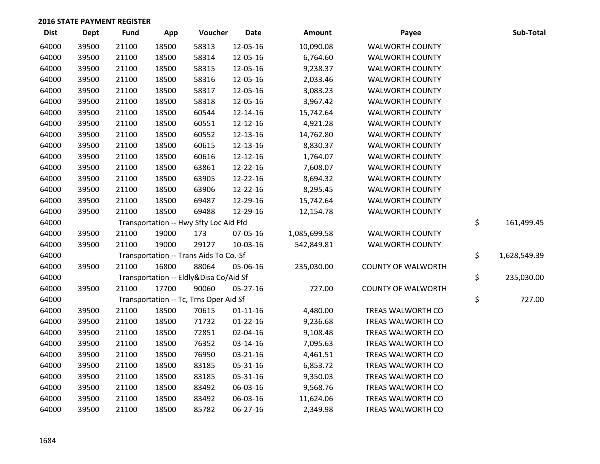| <b>Dist</b> | <b>Dept</b> | <b>Fund</b> | App   | Voucher                                | <b>Date</b>    | Amount       | Payee                     | Sub-Total          |
|-------------|-------------|-------------|-------|----------------------------------------|----------------|--------------|---------------------------|--------------------|
| 64000       | 39500       | 21100       | 18500 | 58313                                  | 12-05-16       | 10,090.08    | <b>WALWORTH COUNTY</b>    |                    |
| 64000       | 39500       | 21100       | 18500 | 58314                                  | 12-05-16       | 6,764.60     | <b>WALWORTH COUNTY</b>    |                    |
| 64000       | 39500       | 21100       | 18500 | 58315                                  | 12-05-16       | 9,238.37     | <b>WALWORTH COUNTY</b>    |                    |
| 64000       | 39500       | 21100       | 18500 | 58316                                  | 12-05-16       | 2,033.46     | <b>WALWORTH COUNTY</b>    |                    |
| 64000       | 39500       | 21100       | 18500 | 58317                                  | 12-05-16       | 3,083.23     | <b>WALWORTH COUNTY</b>    |                    |
| 64000       | 39500       | 21100       | 18500 | 58318                                  | 12-05-16       | 3,967.42     | <b>WALWORTH COUNTY</b>    |                    |
| 64000       | 39500       | 21100       | 18500 | 60544                                  | 12-14-16       | 15,742.64    | <b>WALWORTH COUNTY</b>    |                    |
| 64000       | 39500       | 21100       | 18500 | 60551                                  | 12-12-16       | 4,921.28     | <b>WALWORTH COUNTY</b>    |                    |
| 64000       | 39500       | 21100       | 18500 | 60552                                  | 12-13-16       | 14,762.80    | <b>WALWORTH COUNTY</b>    |                    |
| 64000       | 39500       | 21100       | 18500 | 60615                                  | 12-13-16       | 8,830.37     | <b>WALWORTH COUNTY</b>    |                    |
| 64000       | 39500       | 21100       | 18500 | 60616                                  | 12-12-16       | 1,764.07     | <b>WALWORTH COUNTY</b>    |                    |
| 64000       | 39500       | 21100       | 18500 | 63861                                  | 12-22-16       | 7,608.07     | <b>WALWORTH COUNTY</b>    |                    |
| 64000       | 39500       | 21100       | 18500 | 63905                                  | 12-22-16       | 8,694.32     | <b>WALWORTH COUNTY</b>    |                    |
| 64000       | 39500       | 21100       | 18500 | 63906                                  | 12-22-16       | 8,295.45     | <b>WALWORTH COUNTY</b>    |                    |
| 64000       | 39500       | 21100       | 18500 | 69487                                  | 12-29-16       | 15,742.64    | <b>WALWORTH COUNTY</b>    |                    |
| 64000       | 39500       | 21100       | 18500 | 69488                                  | 12-29-16       | 12,154.78    | <b>WALWORTH COUNTY</b>    |                    |
| 64000       |             |             |       | Transportation -- Hwy Sfty Loc Aid Ffd |                |              |                           | \$<br>161,499.45   |
| 64000       | 39500       | 21100       | 19000 | 173                                    | 07-05-16       | 1,085,699.58 | <b>WALWORTH COUNTY</b>    |                    |
| 64000       | 39500       | 21100       | 19000 | 29127                                  | 10-03-16       | 542,849.81   | <b>WALWORTH COUNTY</b>    |                    |
| 64000       |             |             |       | Transportation -- Trans Aids To Co.-Sf |                |              |                           | \$<br>1,628,549.39 |
| 64000       | 39500       | 21100       | 16800 | 88064                                  | 05-06-16       | 235,030.00   | <b>COUNTY OF WALWORTH</b> |                    |
| 64000       |             |             |       | Transportation -- Eldly&Disa Co/Aid Sf |                |              |                           | \$<br>235,030.00   |
| 64000       | 39500       | 21100       | 17700 | 90060                                  | 05-27-16       | 727.00       | <b>COUNTY OF WALWORTH</b> |                    |
| 64000       |             |             |       | Transportation -- Tc, Trns Oper Aid Sf |                |              |                           | \$<br>727.00       |
| 64000       | 39500       | 21100       | 18500 | 70615                                  | $01 - 11 - 16$ | 4,480.00     | TREAS WALWORTH CO         |                    |
| 64000       | 39500       | 21100       | 18500 | 71732                                  | $01-22-16$     | 9,236.68     | TREAS WALWORTH CO         |                    |
| 64000       | 39500       | 21100       | 18500 | 72851                                  | 02-04-16       | 9,108.48     | TREAS WALWORTH CO         |                    |
| 64000       | 39500       | 21100       | 18500 | 76352                                  | 03-14-16       | 7,095.63     | TREAS WALWORTH CO         |                    |
| 64000       | 39500       | 21100       | 18500 | 76950                                  | 03-21-16       | 4,461.51     | TREAS WALWORTH CO         |                    |
| 64000       | 39500       | 21100       | 18500 | 83185                                  | 05-31-16       | 6,853.72     | TREAS WALWORTH CO         |                    |
| 64000       | 39500       | 21100       | 18500 | 83185                                  | 05-31-16       | 9,350.03     | TREAS WALWORTH CO         |                    |
| 64000       | 39500       | 21100       | 18500 | 83492                                  | 06-03-16       | 9,568.76     | TREAS WALWORTH CO         |                    |
| 64000       | 39500       | 21100       | 18500 | 83492                                  | 06-03-16       | 11,624.06    | TREAS WALWORTH CO         |                    |
| 64000       | 39500       | 21100       | 18500 | 85782                                  | 06-27-16       | 2,349.98     | TREAS WALWORTH CO         |                    |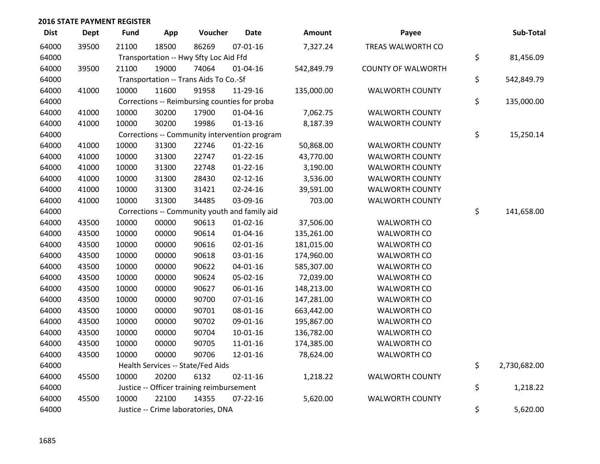| <b>Dist</b> | <b>Dept</b> | Fund  | App   | Voucher                                       | <b>Date</b>    | <b>Amount</b> | Payee                     | Sub-Total          |
|-------------|-------------|-------|-------|-----------------------------------------------|----------------|---------------|---------------------------|--------------------|
| 64000       | 39500       | 21100 | 18500 | 86269                                         | $07 - 01 - 16$ | 7,327.24      | TREAS WALWORTH CO         |                    |
| 64000       |             |       |       | Transportation -- Hwy Sfty Loc Aid Ffd        |                |               |                           | \$<br>81,456.09    |
| 64000       | 39500       | 21100 | 19000 | 74064                                         | $01 - 04 - 16$ | 542,849.79    | <b>COUNTY OF WALWORTH</b> |                    |
| 64000       |             |       |       | Transportation -- Trans Aids To Co.-Sf        |                |               |                           | \$<br>542,849.79   |
| 64000       | 41000       | 10000 | 11600 | 91958                                         | 11-29-16       | 135,000.00    | <b>WALWORTH COUNTY</b>    |                    |
| 64000       |             |       |       | Corrections -- Reimbursing counties for proba |                |               |                           | \$<br>135,000.00   |
| 64000       | 41000       | 10000 | 30200 | 17900                                         | $01 - 04 - 16$ | 7,062.75      | <b>WALWORTH COUNTY</b>    |                    |
| 64000       | 41000       | 10000 | 30200 | 19986                                         | $01 - 13 - 16$ | 8,187.39      | <b>WALWORTH COUNTY</b>    |                    |
| 64000       |             |       |       | Corrections -- Community intervention program |                |               |                           | \$<br>15,250.14    |
| 64000       | 41000       | 10000 | 31300 | 22746                                         | $01 - 22 - 16$ | 50,868.00     | <b>WALWORTH COUNTY</b>    |                    |
| 64000       | 41000       | 10000 | 31300 | 22747                                         | $01 - 22 - 16$ | 43,770.00     | <b>WALWORTH COUNTY</b>    |                    |
| 64000       | 41000       | 10000 | 31300 | 22748                                         | $01 - 22 - 16$ | 3,190.00      | <b>WALWORTH COUNTY</b>    |                    |
| 64000       | 41000       | 10000 | 31300 | 28430                                         | $02 - 12 - 16$ | 3,536.00      | <b>WALWORTH COUNTY</b>    |                    |
| 64000       | 41000       | 10000 | 31300 | 31421                                         | 02-24-16       | 39,591.00     | <b>WALWORTH COUNTY</b>    |                    |
| 64000       | 41000       | 10000 | 31300 | 34485                                         | 03-09-16       | 703.00        | <b>WALWORTH COUNTY</b>    |                    |
| 64000       |             |       |       | Corrections -- Community youth and family aid |                |               |                           | \$<br>141,658.00   |
| 64000       | 43500       | 10000 | 00000 | 90613                                         | $01 - 02 - 16$ | 37,506.00     | <b>WALWORTH CO</b>        |                    |
| 64000       | 43500       | 10000 | 00000 | 90614                                         | $01 - 04 - 16$ | 135,261.00    | <b>WALWORTH CO</b>        |                    |
| 64000       | 43500       | 10000 | 00000 | 90616                                         | $02 - 01 - 16$ | 181,015.00    | WALWORTH CO               |                    |
| 64000       | 43500       | 10000 | 00000 | 90618                                         | 03-01-16       | 174,960.00    | WALWORTH CO               |                    |
| 64000       | 43500       | 10000 | 00000 | 90622                                         | $04 - 01 - 16$ | 585,307.00    | <b>WALWORTH CO</b>        |                    |
| 64000       | 43500       | 10000 | 00000 | 90624                                         | 05-02-16       | 72,039.00     | <b>WALWORTH CO</b>        |                    |
| 64000       | 43500       | 10000 | 00000 | 90627                                         | 06-01-16       | 148,213.00    | <b>WALWORTH CO</b>        |                    |
| 64000       | 43500       | 10000 | 00000 | 90700                                         | $07 - 01 - 16$ | 147,281.00    | <b>WALWORTH CO</b>        |                    |
| 64000       | 43500       | 10000 | 00000 | 90701                                         | 08-01-16       | 663,442.00    | <b>WALWORTH CO</b>        |                    |
| 64000       | 43500       | 10000 | 00000 | 90702                                         | 09-01-16       | 195,867.00    | <b>WALWORTH CO</b>        |                    |
| 64000       | 43500       | 10000 | 00000 | 90704                                         | $10 - 01 - 16$ | 136,782.00    | <b>WALWORTH CO</b>        |                    |
| 64000       | 43500       | 10000 | 00000 | 90705                                         | 11-01-16       | 174,385.00    | WALWORTH CO               |                    |
| 64000       | 43500       | 10000 | 00000 | 90706                                         | 12-01-16       | 78,624.00     | WALWORTH CO               |                    |
| 64000       |             |       |       | Health Services -- State/Fed Aids             |                |               |                           | \$<br>2,730,682.00 |
| 64000       | 45500       | 10000 | 20200 | 6132                                          | $02 - 11 - 16$ | 1,218.22      | <b>WALWORTH COUNTY</b>    |                    |
| 64000       |             |       |       | Justice -- Officer training reimbursement     |                |               |                           | \$<br>1,218.22     |
| 64000       | 45500       | 10000 | 22100 | 14355                                         | $07 - 22 - 16$ | 5,620.00      | <b>WALWORTH COUNTY</b>    |                    |
| 64000       |             |       |       | Justice -- Crime laboratories, DNA            |                |               |                           | \$<br>5,620.00     |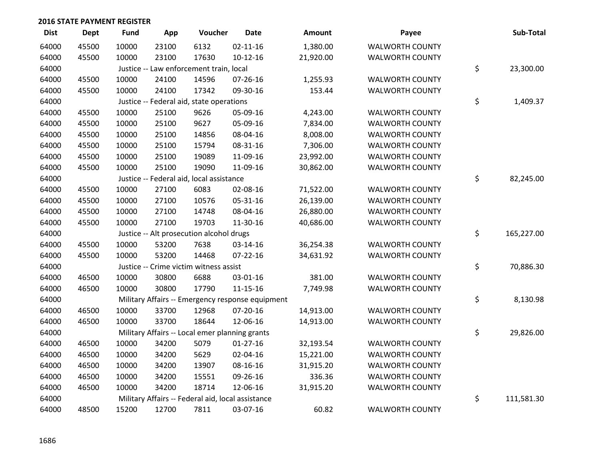| <b>Dist</b> | <b>Dept</b> | <b>Fund</b> | App   | Voucher                                           | <b>Date</b>    | Amount    | Payee                  | Sub-Total        |
|-------------|-------------|-------------|-------|---------------------------------------------------|----------------|-----------|------------------------|------------------|
| 64000       | 45500       | 10000       | 23100 | 6132                                              | $02 - 11 - 16$ | 1,380.00  | <b>WALWORTH COUNTY</b> |                  |
| 64000       | 45500       | 10000       | 23100 | 17630                                             | $10-12-16$     | 21,920.00 | <b>WALWORTH COUNTY</b> |                  |
| 64000       |             |             |       | Justice -- Law enforcement train, local           |                |           |                        | \$<br>23,300.00  |
| 64000       | 45500       | 10000       | 24100 | 14596                                             | 07-26-16       | 1,255.93  | <b>WALWORTH COUNTY</b> |                  |
| 64000       | 45500       | 10000       | 24100 | 17342                                             | 09-30-16       | 153.44    | <b>WALWORTH COUNTY</b> |                  |
| 64000       |             |             |       | Justice -- Federal aid, state operations          |                |           |                        | \$<br>1,409.37   |
| 64000       | 45500       | 10000       | 25100 | 9626                                              | 05-09-16       | 4,243.00  | <b>WALWORTH COUNTY</b> |                  |
| 64000       | 45500       | 10000       | 25100 | 9627                                              | 05-09-16       | 7,834.00  | <b>WALWORTH COUNTY</b> |                  |
| 64000       | 45500       | 10000       | 25100 | 14856                                             | 08-04-16       | 8,008.00  | <b>WALWORTH COUNTY</b> |                  |
| 64000       | 45500       | 10000       | 25100 | 15794                                             | 08-31-16       | 7,306.00  | <b>WALWORTH COUNTY</b> |                  |
| 64000       | 45500       | 10000       | 25100 | 19089                                             | 11-09-16       | 23,992.00 | <b>WALWORTH COUNTY</b> |                  |
| 64000       | 45500       | 10000       | 25100 | 19090                                             | 11-09-16       | 30,862.00 | <b>WALWORTH COUNTY</b> |                  |
| 64000       |             |             |       | Justice -- Federal aid, local assistance          |                |           |                        | \$<br>82,245.00  |
| 64000       | 45500       | 10000       | 27100 | 6083                                              | 02-08-16       | 71,522.00 | <b>WALWORTH COUNTY</b> |                  |
| 64000       | 45500       | 10000       | 27100 | 10576                                             | 05-31-16       | 26,139.00 | <b>WALWORTH COUNTY</b> |                  |
| 64000       | 45500       | 10000       | 27100 | 14748                                             | 08-04-16       | 26,880.00 | <b>WALWORTH COUNTY</b> |                  |
| 64000       | 45500       | 10000       | 27100 | 19703                                             | 11-30-16       | 40,686.00 | <b>WALWORTH COUNTY</b> |                  |
| 64000       |             |             |       | Justice -- Alt prosecution alcohol drugs          |                |           |                        | \$<br>165,227.00 |
| 64000       | 45500       | 10000       | 53200 | 7638                                              | 03-14-16       | 36,254.38 | <b>WALWORTH COUNTY</b> |                  |
| 64000       | 45500       | 10000       | 53200 | 14468                                             | 07-22-16       | 34,631.92 | <b>WALWORTH COUNTY</b> |                  |
| 64000       |             |             |       | Justice -- Crime victim witness assist            |                |           |                        | \$<br>70,886.30  |
| 64000       | 46500       | 10000       | 30800 | 6688                                              | 03-01-16       | 381.00    | <b>WALWORTH COUNTY</b> |                  |
| 64000       | 46500       | 10000       | 30800 | 17790                                             | $11 - 15 - 16$ | 7,749.98  | <b>WALWORTH COUNTY</b> |                  |
| 64000       |             |             |       | Military Affairs -- Emergency response equipment  |                |           |                        | \$<br>8,130.98   |
| 64000       | 46500       | 10000       | 33700 | 12968                                             | 07-20-16       | 14,913.00 | <b>WALWORTH COUNTY</b> |                  |
| 64000       | 46500       | 10000       | 33700 | 18644                                             | 12-06-16       | 14,913.00 | <b>WALWORTH COUNTY</b> |                  |
| 64000       |             |             |       | Military Affairs -- Local emer planning grants    |                |           |                        | \$<br>29,826.00  |
| 64000       | 46500       | 10000       | 34200 | 5079                                              | $01-27-16$     | 32,193.54 | <b>WALWORTH COUNTY</b> |                  |
| 64000       | 46500       | 10000       | 34200 | 5629                                              | 02-04-16       | 15,221.00 | <b>WALWORTH COUNTY</b> |                  |
| 64000       | 46500       | 10000       | 34200 | 13907                                             | 08-16-16       | 31,915.20 | <b>WALWORTH COUNTY</b> |                  |
| 64000       | 46500       | 10000       | 34200 | 15551                                             | 09-26-16       | 336.36    | <b>WALWORTH COUNTY</b> |                  |
| 64000       | 46500       | 10000       | 34200 | 18714                                             | 12-06-16       | 31,915.20 | <b>WALWORTH COUNTY</b> |                  |
| 64000       |             |             |       | Military Affairs -- Federal aid, local assistance |                |           |                        | \$<br>111,581.30 |
| 64000       | 48500       | 15200       | 12700 | 7811                                              | 03-07-16       | 60.82     | <b>WALWORTH COUNTY</b> |                  |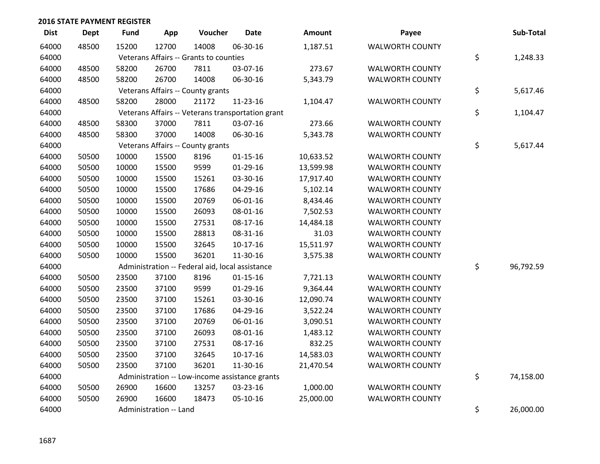| <b>Dist</b> | <b>Dept</b> | <b>Fund</b> | App                    | Voucher                                           | <b>Date</b>    | <b>Amount</b> | Payee                  | Sub-Total       |
|-------------|-------------|-------------|------------------------|---------------------------------------------------|----------------|---------------|------------------------|-----------------|
| 64000       | 48500       | 15200       | 12700                  | 14008                                             | 06-30-16       | 1,187.51      | <b>WALWORTH COUNTY</b> |                 |
| 64000       |             |             |                        | Veterans Affairs -- Grants to counties            |                |               |                        | \$<br>1,248.33  |
| 64000       | 48500       | 58200       | 26700                  | 7811                                              | 03-07-16       | 273.67        | <b>WALWORTH COUNTY</b> |                 |
| 64000       | 48500       | 58200       | 26700                  | 14008                                             | 06-30-16       | 5,343.79      | <b>WALWORTH COUNTY</b> |                 |
| 64000       |             |             |                        | Veterans Affairs -- County grants                 |                |               |                        | \$<br>5,617.46  |
| 64000       | 48500       | 58200       | 28000                  | 21172                                             | 11-23-16       | 1,104.47      | <b>WALWORTH COUNTY</b> |                 |
| 64000       |             |             |                        | Veterans Affairs -- Veterans transportation grant |                |               |                        | \$<br>1,104.47  |
| 64000       | 48500       | 58300       | 37000                  | 7811                                              | 03-07-16       | 273.66        | <b>WALWORTH COUNTY</b> |                 |
| 64000       | 48500       | 58300       | 37000                  | 14008                                             | 06-30-16       | 5,343.78      | <b>WALWORTH COUNTY</b> |                 |
| 64000       |             |             |                        | Veterans Affairs -- County grants                 |                |               |                        | \$<br>5,617.44  |
| 64000       | 50500       | 10000       | 15500                  | 8196                                              | $01 - 15 - 16$ | 10,633.52     | <b>WALWORTH COUNTY</b> |                 |
| 64000       | 50500       | 10000       | 15500                  | 9599                                              | $01-29-16$     | 13,599.98     | <b>WALWORTH COUNTY</b> |                 |
| 64000       | 50500       | 10000       | 15500                  | 15261                                             | 03-30-16       | 17,917.40     | <b>WALWORTH COUNTY</b> |                 |
| 64000       | 50500       | 10000       | 15500                  | 17686                                             | 04-29-16       | 5,102.14      | <b>WALWORTH COUNTY</b> |                 |
| 64000       | 50500       | 10000       | 15500                  | 20769                                             | 06-01-16       | 8,434.46      | <b>WALWORTH COUNTY</b> |                 |
| 64000       | 50500       | 10000       | 15500                  | 26093                                             | 08-01-16       | 7,502.53      | <b>WALWORTH COUNTY</b> |                 |
| 64000       | 50500       | 10000       | 15500                  | 27531                                             | 08-17-16       | 14,484.18     | <b>WALWORTH COUNTY</b> |                 |
| 64000       | 50500       | 10000       | 15500                  | 28813                                             | 08-31-16       | 31.03         | <b>WALWORTH COUNTY</b> |                 |
| 64000       | 50500       | 10000       | 15500                  | 32645                                             | $10-17-16$     | 15,511.97     | <b>WALWORTH COUNTY</b> |                 |
| 64000       | 50500       | 10000       | 15500                  | 36201                                             | 11-30-16       | 3,575.38      | <b>WALWORTH COUNTY</b> |                 |
| 64000       |             |             |                        | Administration -- Federal aid, local assistance   |                |               |                        | \$<br>96,792.59 |
| 64000       | 50500       | 23500       | 37100                  | 8196                                              | $01 - 15 - 16$ | 7,721.13      | <b>WALWORTH COUNTY</b> |                 |
| 64000       | 50500       | 23500       | 37100                  | 9599                                              | $01-29-16$     | 9,364.44      | <b>WALWORTH COUNTY</b> |                 |
| 64000       | 50500       | 23500       | 37100                  | 15261                                             | 03-30-16       | 12,090.74     | <b>WALWORTH COUNTY</b> |                 |
| 64000       | 50500       | 23500       | 37100                  | 17686                                             | 04-29-16       | 3,522.24      | <b>WALWORTH COUNTY</b> |                 |
| 64000       | 50500       | 23500       | 37100                  | 20769                                             | 06-01-16       | 3,090.51      | <b>WALWORTH COUNTY</b> |                 |
| 64000       | 50500       | 23500       | 37100                  | 26093                                             | 08-01-16       | 1,483.12      | <b>WALWORTH COUNTY</b> |                 |
| 64000       | 50500       | 23500       | 37100                  | 27531                                             | 08-17-16       | 832.25        | WALWORTH COUNTY        |                 |
| 64000       | 50500       | 23500       | 37100                  | 32645                                             | $10-17-16$     | 14,583.03     | <b>WALWORTH COUNTY</b> |                 |
| 64000       | 50500       | 23500       | 37100                  | 36201                                             | 11-30-16       | 21,470.54     | <b>WALWORTH COUNTY</b> |                 |
| 64000       |             |             |                        | Administration -- Low-income assistance grants    |                |               |                        | \$<br>74,158.00 |
| 64000       | 50500       | 26900       | 16600                  | 13257                                             | 03-23-16       | 1,000.00      | <b>WALWORTH COUNTY</b> |                 |
| 64000       | 50500       | 26900       | 16600                  | 18473                                             | 05-10-16       | 25,000.00     | <b>WALWORTH COUNTY</b> |                 |
| 64000       |             |             | Administration -- Land |                                                   |                |               |                        | \$<br>26,000.00 |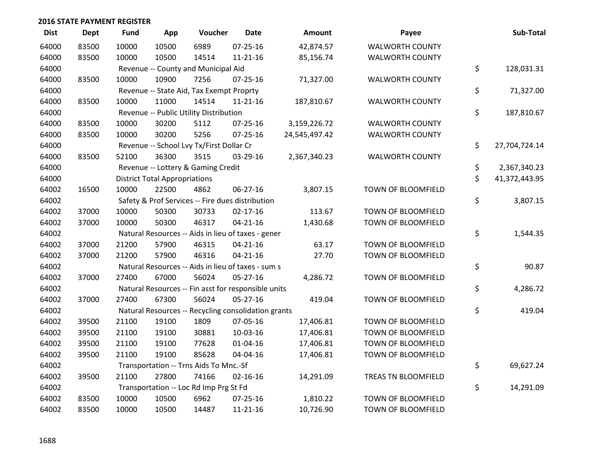| <b>Dist</b> | <b>Dept</b> | <b>Fund</b> | App                                  | Voucher                                             | <b>Date</b>    | <b>Amount</b> | Payee                  | Sub-Total           |
|-------------|-------------|-------------|--------------------------------------|-----------------------------------------------------|----------------|---------------|------------------------|---------------------|
| 64000       | 83500       | 10000       | 10500                                | 6989                                                | 07-25-16       | 42,874.57     | <b>WALWORTH COUNTY</b> |                     |
| 64000       | 83500       | 10000       | 10500                                | 14514                                               | $11 - 21 - 16$ | 85,156.74     | <b>WALWORTH COUNTY</b> |                     |
| 64000       |             |             |                                      | Revenue -- County and Municipal Aid                 |                |               |                        | \$<br>128,031.31    |
| 64000       | 83500       | 10000       | 10900                                | 7256                                                | $07 - 25 - 16$ | 71,327.00     | <b>WALWORTH COUNTY</b> |                     |
| 64000       |             |             |                                      | Revenue -- State Aid, Tax Exempt Proprty            |                |               |                        | \$<br>71,327.00     |
| 64000       | 83500       | 10000       | 11000                                | 14514                                               | $11 - 21 - 16$ | 187,810.67    | <b>WALWORTH COUNTY</b> |                     |
| 64000       |             |             |                                      | Revenue -- Public Utility Distribution              |                |               |                        | \$<br>187,810.67    |
| 64000       | 83500       | 10000       | 30200                                | 5112                                                | $07 - 25 - 16$ | 3,159,226.72  | <b>WALWORTH COUNTY</b> |                     |
| 64000       | 83500       | 10000       | 30200                                | 5256                                                | $07 - 25 - 16$ | 24,545,497.42 | <b>WALWORTH COUNTY</b> |                     |
| 64000       |             |             |                                      | Revenue -- School Lvy Tx/First Dollar Cr            |                |               |                        | \$<br>27,704,724.14 |
| 64000       | 83500       | 52100       | 36300                                | 3515                                                | 03-29-16       | 2,367,340.23  | <b>WALWORTH COUNTY</b> |                     |
| 64000       |             |             |                                      | Revenue -- Lottery & Gaming Credit                  |                |               |                        | \$<br>2,367,340.23  |
| 64000       |             |             | <b>District Total Appropriations</b> |                                                     |                |               |                        | \$<br>41,372,443.95 |
| 64002       | 16500       | 10000       | 22500                                | 4862                                                | 06-27-16       | 3,807.15      | TOWN OF BLOOMFIELD     |                     |
| 64002       |             |             |                                      | Safety & Prof Services -- Fire dues distribution    |                |               |                        | \$<br>3,807.15      |
| 64002       | 37000       | 10000       | 50300                                | 30733                                               | $02 - 17 - 16$ | 113.67        | TOWN OF BLOOMFIELD     |                     |
| 64002       | 37000       | 10000       | 50300                                | 46317                                               | $04 - 21 - 16$ | 1,430.68      | TOWN OF BLOOMFIELD     |                     |
| 64002       |             |             |                                      | Natural Resources -- Aids in lieu of taxes - gener  |                |               |                        | \$<br>1,544.35      |
| 64002       | 37000       | 21200       | 57900                                | 46315                                               | $04 - 21 - 16$ | 63.17         | TOWN OF BLOOMFIELD     |                     |
| 64002       | 37000       | 21200       | 57900                                | 46316                                               | $04 - 21 - 16$ | 27.70         | TOWN OF BLOOMFIELD     |                     |
| 64002       |             |             |                                      | Natural Resources -- Aids in lieu of taxes - sum s  |                |               |                        | \$<br>90.87         |
| 64002       | 37000       | 27400       | 67000                                | 56024                                               | 05-27-16       | 4,286.72      | TOWN OF BLOOMFIELD     |                     |
| 64002       |             |             |                                      | Natural Resources -- Fin asst for responsible units |                |               |                        | \$<br>4,286.72      |
| 64002       | 37000       | 27400       | 67300                                | 56024                                               | $05 - 27 - 16$ | 419.04        | TOWN OF BLOOMFIELD     |                     |
| 64002       |             |             |                                      | Natural Resources -- Recycling consolidation grants |                |               |                        | \$<br>419.04        |
| 64002       | 39500       | 21100       | 19100                                | 1809                                                | 07-05-16       | 17,406.81     | TOWN OF BLOOMFIELD     |                     |
| 64002       | 39500       | 21100       | 19100                                | 30881                                               | 10-03-16       | 17,406.81     | TOWN OF BLOOMFIELD     |                     |
| 64002       | 39500       | 21100       | 19100                                | 77628                                               | $01 - 04 - 16$ | 17,406.81     | TOWN OF BLOOMFIELD     |                     |
| 64002       | 39500       | 21100       | 19100                                | 85628                                               | 04-04-16       | 17,406.81     | TOWN OF BLOOMFIELD     |                     |
| 64002       |             |             |                                      | Transportation -- Trns Aids To Mnc.-Sf              |                |               |                        | \$<br>69,627.24     |
| 64002       | 39500       | 21100       | 27800                                | 74166                                               | $02 - 16 - 16$ | 14,291.09     | TREAS TN BLOOMFIELD    |                     |
| 64002       |             |             |                                      | Transportation -- Loc Rd Imp Prg St Fd              |                |               |                        | \$<br>14,291.09     |
| 64002       | 83500       | 10000       | 10500                                | 6962                                                | $07 - 25 - 16$ | 1,810.22      | TOWN OF BLOOMFIELD     |                     |
| 64002       | 83500       | 10000       | 10500                                | 14487                                               | $11 - 21 - 16$ | 10,726.90     | TOWN OF BLOOMFIELD     |                     |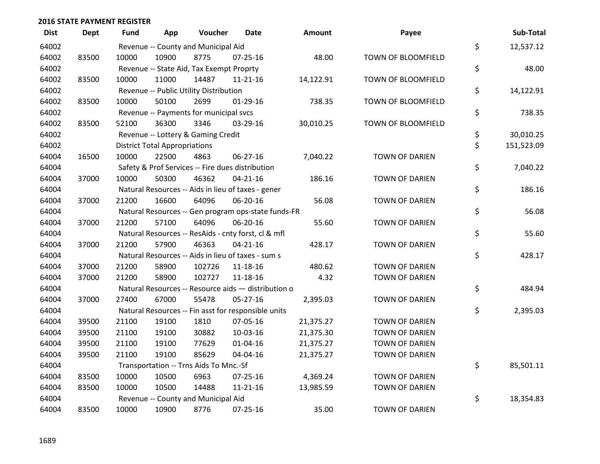| <b>Dist</b> | <b>Dept</b> | Fund  | App                                  | Voucher                                  | Date                                                | <b>Amount</b> | Payee                 | Sub-Total        |
|-------------|-------------|-------|--------------------------------------|------------------------------------------|-----------------------------------------------------|---------------|-----------------------|------------------|
| 64002       |             |       |                                      | Revenue -- County and Municipal Aid      |                                                     |               |                       | \$<br>12,537.12  |
| 64002       | 83500       | 10000 | 10900                                | 8775                                     | $07 - 25 - 16$                                      | 48.00         | TOWN OF BLOOMFIELD    |                  |
| 64002       |             |       |                                      | Revenue -- State Aid, Tax Exempt Proprty |                                                     |               |                       | \$<br>48.00      |
| 64002       | 83500       | 10000 | 11000                                | 14487                                    | $11 - 21 - 16$                                      | 14,122.91     | TOWN OF BLOOMFIELD    |                  |
| 64002       |             |       |                                      | Revenue -- Public Utility Distribution   |                                                     |               |                       | \$<br>14,122.91  |
| 64002       | 83500       | 10000 | 50100                                | 2699                                     | $01-29-16$                                          | 738.35        | TOWN OF BLOOMFIELD    |                  |
| 64002       |             |       |                                      | Revenue -- Payments for municipal svcs   |                                                     |               |                       | \$<br>738.35     |
| 64002       | 83500       | 52100 | 36300                                | 3346                                     | 03-29-16                                            | 30,010.25     | TOWN OF BLOOMFIELD    |                  |
| 64002       |             |       |                                      | Revenue -- Lottery & Gaming Credit       |                                                     |               |                       | \$<br>30,010.25  |
| 64002       |             |       | <b>District Total Appropriations</b> |                                          |                                                     |               |                       | \$<br>151,523.09 |
| 64004       | 16500       | 10000 | 22500                                | 4863                                     | 06-27-16                                            | 7,040.22      | <b>TOWN OF DARIEN</b> |                  |
| 64004       |             |       |                                      |                                          | Safety & Prof Services -- Fire dues distribution    |               |                       | \$<br>7,040.22   |
| 64004       | 37000       | 10000 | 50300                                | 46362                                    | $04 - 21 - 16$                                      | 186.16        | <b>TOWN OF DARIEN</b> |                  |
| 64004       |             |       |                                      |                                          | Natural Resources -- Aids in lieu of taxes - gener  |               |                       | \$<br>186.16     |
| 64004       | 37000       | 21200 | 16600                                | 64096                                    | 06-20-16                                            | 56.08         | <b>TOWN OF DARIEN</b> |                  |
| 64004       |             |       |                                      |                                          | Natural Resources -- Gen program ops-state funds-FR |               |                       | \$<br>56.08      |
| 64004       | 37000       | 21200 | 57100                                | 64096                                    | 06-20-16                                            | 55.60         | <b>TOWN OF DARIEN</b> |                  |
| 64004       |             |       |                                      |                                          | Natural Resources -- ResAids - cnty forst, cl & mfl |               |                       | \$<br>55.60      |
| 64004       | 37000       | 21200 | 57900                                | 46363                                    | $04 - 21 - 16$                                      | 428.17        | <b>TOWN OF DARIEN</b> |                  |
| 64004       |             |       |                                      |                                          | Natural Resources -- Aids in lieu of taxes - sum s  |               |                       | \$<br>428.17     |
| 64004       | 37000       | 21200 | 58900                                | 102726                                   | 11-18-16                                            | 480.62        | <b>TOWN OF DARIEN</b> |                  |
| 64004       | 37000       | 21200 | 58900                                | 102727                                   | 11-18-16                                            | 4.32          | <b>TOWN OF DARIEN</b> |                  |
| 64004       |             |       |                                      |                                          | Natural Resources -- Resource aids - distribution o |               |                       | \$<br>484.94     |
| 64004       | 37000       | 27400 | 67000                                | 55478                                    | $05-27-16$                                          | 2,395.03      | <b>TOWN OF DARIEN</b> |                  |
| 64004       |             |       |                                      |                                          | Natural Resources -- Fin asst for responsible units |               |                       | \$<br>2,395.03   |
| 64004       | 39500       | 21100 | 19100                                | 1810                                     | 07-05-16                                            | 21,375.27     | <b>TOWN OF DARIEN</b> |                  |
| 64004       | 39500       | 21100 | 19100                                | 30882                                    | 10-03-16                                            | 21,375.30     | <b>TOWN OF DARIEN</b> |                  |
| 64004       | 39500       | 21100 | 19100                                | 77629                                    | 01-04-16                                            | 21,375.27     | <b>TOWN OF DARIEN</b> |                  |
| 64004       | 39500       | 21100 | 19100                                | 85629                                    | 04-04-16                                            | 21,375.27     | <b>TOWN OF DARIEN</b> |                  |
| 64004       |             |       |                                      | Transportation -- Trns Aids To Mnc.-Sf   |                                                     |               |                       | \$<br>85,501.11  |
| 64004       | 83500       | 10000 | 10500                                | 6963                                     | 07-25-16                                            | 4,369.24      | <b>TOWN OF DARIEN</b> |                  |
| 64004       | 83500       | 10000 | 10500                                | 14488                                    | $11 - 21 - 16$                                      | 13,985.59     | <b>TOWN OF DARIEN</b> |                  |
| 64004       |             |       |                                      | Revenue -- County and Municipal Aid      |                                                     |               |                       | \$<br>18,354.83  |
| 64004       | 83500       | 10000 | 10900                                | 8776                                     | $07 - 25 - 16$                                      | 35.00         | <b>TOWN OF DARIEN</b> |                  |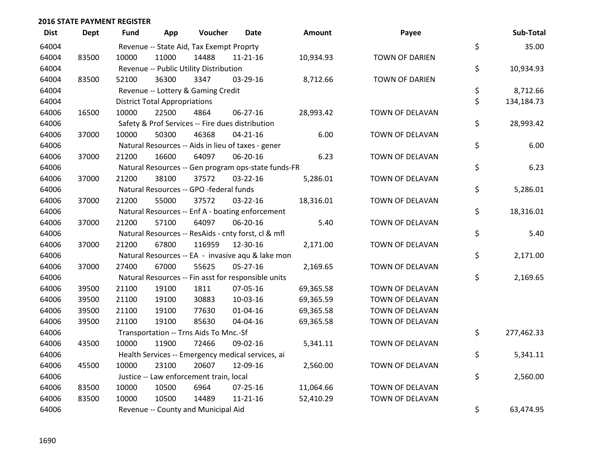| <b>Dist</b> | Dept  | <b>Fund</b> | App                                  | Voucher                                  | <b>Date</b>                                         | Amount    | Payee                 | Sub-Total        |
|-------------|-------|-------------|--------------------------------------|------------------------------------------|-----------------------------------------------------|-----------|-----------------------|------------------|
| 64004       |       |             |                                      | Revenue -- State Aid, Tax Exempt Proprty |                                                     |           |                       | \$<br>35.00      |
| 64004       | 83500 | 10000       | 11000                                | 14488                                    | $11 - 21 - 16$                                      | 10,934.93 | TOWN OF DARIEN        |                  |
| 64004       |       |             |                                      | Revenue -- Public Utility Distribution   |                                                     |           |                       | \$<br>10,934.93  |
| 64004       | 83500 | 52100       | 36300                                | 3347                                     | 03-29-16                                            | 8,712.66  | <b>TOWN OF DARIEN</b> |                  |
| 64004       |       |             |                                      | Revenue -- Lottery & Gaming Credit       |                                                     |           |                       | \$<br>8,712.66   |
| 64004       |       |             | <b>District Total Appropriations</b> |                                          |                                                     |           |                       | \$<br>134,184.73 |
| 64006       | 16500 | 10000       | 22500                                | 4864                                     | 06-27-16                                            | 28,993.42 | TOWN OF DELAVAN       |                  |
| 64006       |       |             |                                      |                                          | Safety & Prof Services -- Fire dues distribution    |           |                       | \$<br>28,993.42  |
| 64006       | 37000 | 10000       | 50300                                | 46368                                    | $04 - 21 - 16$                                      | 6.00      | TOWN OF DELAVAN       |                  |
| 64006       |       |             |                                      |                                          | Natural Resources -- Aids in lieu of taxes - gener  |           |                       | \$<br>6.00       |
| 64006       | 37000 | 21200       | 16600                                | 64097                                    | 06-20-16                                            | 6.23      | TOWN OF DELAVAN       |                  |
| 64006       |       |             |                                      |                                          | Natural Resources -- Gen program ops-state funds-FR |           |                       | \$<br>6.23       |
| 64006       | 37000 | 21200       | 38100                                | 37572                                    | 03-22-16                                            | 5,286.01  | TOWN OF DELAVAN       |                  |
| 64006       |       |             |                                      | Natural Resources -- GPO -federal funds  |                                                     |           |                       | \$<br>5,286.01   |
| 64006       | 37000 | 21200       | 55000                                | 37572                                    | 03-22-16                                            | 18,316.01 | TOWN OF DELAVAN       |                  |
| 64006       |       |             |                                      |                                          | Natural Resources -- Enf A - boating enforcement    |           |                       | \$<br>18,316.01  |
| 64006       | 37000 | 21200       | 57100                                | 64097                                    | 06-20-16                                            | 5.40      | TOWN OF DELAVAN       |                  |
| 64006       |       |             |                                      |                                          | Natural Resources -- ResAids - cnty forst, cl & mfl |           |                       | \$<br>5.40       |
| 64006       | 37000 | 21200       | 67800                                | 116959                                   | 12-30-16                                            | 2,171.00  | TOWN OF DELAVAN       |                  |
| 64006       |       |             |                                      |                                          | Natural Resources -- EA - invasive aqu & lake mon   |           |                       | \$<br>2,171.00   |
| 64006       | 37000 | 27400       | 67000                                | 55625                                    | 05-27-16                                            | 2,169.65  | TOWN OF DELAVAN       |                  |
| 64006       |       |             |                                      |                                          | Natural Resources -- Fin asst for responsible units |           |                       | \$<br>2,169.65   |
| 64006       | 39500 | 21100       | 19100                                | 1811                                     | 07-05-16                                            | 69,365.58 | TOWN OF DELAVAN       |                  |
| 64006       | 39500 | 21100       | 19100                                | 30883                                    | 10-03-16                                            | 69,365.59 | TOWN OF DELAVAN       |                  |
| 64006       | 39500 | 21100       | 19100                                | 77630                                    | $01 - 04 - 16$                                      | 69,365.58 | TOWN OF DELAVAN       |                  |
| 64006       | 39500 | 21100       | 19100                                | 85630                                    | 04-04-16                                            | 69,365.58 | TOWN OF DELAVAN       |                  |
| 64006       |       |             |                                      | Transportation -- Trns Aids To Mnc.-Sf   |                                                     |           |                       | \$<br>277,462.33 |
| 64006       | 43500 | 10000       | 11900                                | 72466                                    | 09-02-16                                            | 5,341.11  | TOWN OF DELAVAN       |                  |
| 64006       |       |             |                                      |                                          | Health Services -- Emergency medical services, ai   |           |                       | \$<br>5,341.11   |
| 64006       | 45500 | 10000       | 23100                                | 20607                                    | 12-09-16                                            | 2,560.00  | TOWN OF DELAVAN       |                  |
| 64006       |       |             |                                      | Justice -- Law enforcement train, local  |                                                     |           |                       | \$<br>2,560.00   |
| 64006       | 83500 | 10000       | 10500                                | 6964                                     | $07 - 25 - 16$                                      | 11,064.66 | TOWN OF DELAVAN       |                  |
| 64006       | 83500 | 10000       | 10500                                | 14489                                    | $11 - 21 - 16$                                      | 52,410.29 | TOWN OF DELAVAN       |                  |
| 64006       |       |             |                                      | Revenue -- County and Municipal Aid      |                                                     |           |                       | \$<br>63,474.95  |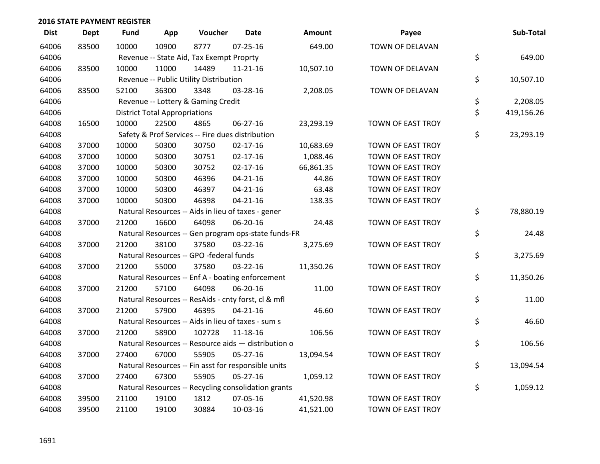| <b>Dist</b> | <b>Dept</b> | <b>Fund</b> | App                                  | Voucher                                  | <b>Date</b>                                         | <b>Amount</b> | Payee                    | Sub-Total        |
|-------------|-------------|-------------|--------------------------------------|------------------------------------------|-----------------------------------------------------|---------------|--------------------------|------------------|
| 64006       | 83500       | 10000       | 10900                                | 8777                                     | $07 - 25 - 16$                                      | 649.00        | TOWN OF DELAVAN          |                  |
| 64006       |             |             |                                      | Revenue -- State Aid, Tax Exempt Proprty |                                                     |               |                          | \$<br>649.00     |
| 64006       | 83500       | 10000       | 11000                                | 14489                                    | $11 - 21 - 16$                                      | 10,507.10     | TOWN OF DELAVAN          |                  |
| 64006       |             |             |                                      | Revenue -- Public Utility Distribution   |                                                     |               |                          | \$<br>10,507.10  |
| 64006       | 83500       | 52100       | 36300                                | 3348                                     | 03-28-16                                            | 2,208.05      | TOWN OF DELAVAN          |                  |
| 64006       |             |             |                                      | Revenue -- Lottery & Gaming Credit       |                                                     |               |                          | \$<br>2,208.05   |
| 64006       |             |             | <b>District Total Appropriations</b> |                                          |                                                     |               |                          | \$<br>419,156.26 |
| 64008       | 16500       | 10000       | 22500                                | 4865                                     | 06-27-16                                            | 23,293.19     | TOWN OF EAST TROY        |                  |
| 64008       |             |             |                                      |                                          | Safety & Prof Services -- Fire dues distribution    |               |                          | \$<br>23,293.19  |
| 64008       | 37000       | 10000       | 50300                                | 30750                                    | $02 - 17 - 16$                                      | 10,683.69     | TOWN OF EAST TROY        |                  |
| 64008       | 37000       | 10000       | 50300                                | 30751                                    | $02 - 17 - 16$                                      | 1,088.46      | <b>TOWN OF EAST TROY</b> |                  |
| 64008       | 37000       | 10000       | 50300                                | 30752                                    | $02 - 17 - 16$                                      | 66,861.35     | <b>TOWN OF EAST TROY</b> |                  |
| 64008       | 37000       | 10000       | 50300                                | 46396                                    | $04 - 21 - 16$                                      | 44.86         | TOWN OF EAST TROY        |                  |
| 64008       | 37000       | 10000       | 50300                                | 46397                                    | $04 - 21 - 16$                                      | 63.48         | TOWN OF EAST TROY        |                  |
| 64008       | 37000       | 10000       | 50300                                | 46398                                    | $04 - 21 - 16$                                      | 138.35        | <b>TOWN OF EAST TROY</b> |                  |
| 64008       |             |             |                                      |                                          | Natural Resources -- Aids in lieu of taxes - gener  |               |                          | \$<br>78,880.19  |
| 64008       | 37000       | 21200       | 16600                                | 64098                                    | 06-20-16                                            | 24.48         | <b>TOWN OF EAST TROY</b> |                  |
| 64008       |             |             |                                      |                                          | Natural Resources -- Gen program ops-state funds-FR |               |                          | \$<br>24.48      |
| 64008       | 37000       | 21200       | 38100                                | 37580                                    | 03-22-16                                            | 3,275.69      | TOWN OF EAST TROY        |                  |
| 64008       |             |             |                                      | Natural Resources -- GPO -federal funds  |                                                     |               |                          | \$<br>3,275.69   |
| 64008       | 37000       | 21200       | 55000                                | 37580                                    | 03-22-16                                            | 11,350.26     | TOWN OF EAST TROY        |                  |
| 64008       |             |             |                                      |                                          | Natural Resources -- Enf A - boating enforcement    |               |                          | \$<br>11,350.26  |
| 64008       | 37000       | 21200       | 57100                                | 64098                                    | 06-20-16                                            | 11.00         | TOWN OF EAST TROY        |                  |
| 64008       |             |             |                                      |                                          | Natural Resources -- ResAids - cnty forst, cl & mfl |               |                          | \$<br>11.00      |
| 64008       | 37000       | 21200       | 57900                                | 46395                                    | $04 - 21 - 16$                                      | 46.60         | <b>TOWN OF EAST TROY</b> |                  |
| 64008       |             |             |                                      |                                          | Natural Resources -- Aids in lieu of taxes - sum s  |               |                          | \$<br>46.60      |
| 64008       | 37000       | 21200       | 58900                                | 102728                                   | 11-18-16                                            | 106.56        | TOWN OF EAST TROY        |                  |
| 64008       |             |             |                                      |                                          | Natural Resources -- Resource aids - distribution o |               |                          | \$<br>106.56     |
| 64008       | 37000       | 27400       | 67000                                | 55905                                    | $05 - 27 - 16$                                      | 13,094.54     | TOWN OF EAST TROY        |                  |
| 64008       |             |             |                                      |                                          | Natural Resources -- Fin asst for responsible units |               |                          | \$<br>13,094.54  |
| 64008       | 37000       | 27400       | 67300                                | 55905                                    | $05 - 27 - 16$                                      | 1,059.12      | TOWN OF EAST TROY        |                  |
| 64008       |             |             |                                      |                                          | Natural Resources -- Recycling consolidation grants |               |                          | \$<br>1,059.12   |
| 64008       | 39500       | 21100       | 19100                                | 1812                                     | 07-05-16                                            | 41,520.98     | <b>TOWN OF EAST TROY</b> |                  |
| 64008       | 39500       | 21100       | 19100                                | 30884                                    | 10-03-16                                            | 41,521.00     | TOWN OF EAST TROY        |                  |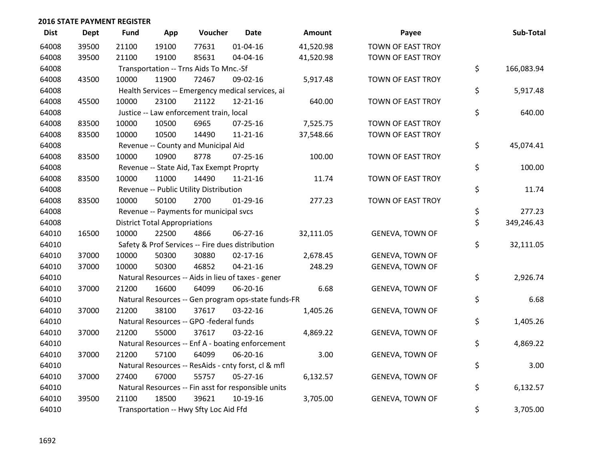| <b>Dist</b> | <b>Dept</b> | <b>Fund</b> | App                                  | Voucher                                             | Date           | Amount    | Payee                    | Sub-Total        |
|-------------|-------------|-------------|--------------------------------------|-----------------------------------------------------|----------------|-----------|--------------------------|------------------|
| 64008       | 39500       | 21100       | 19100                                | 77631                                               | $01 - 04 - 16$ | 41,520.98 | TOWN OF EAST TROY        |                  |
| 64008       | 39500       | 21100       | 19100                                | 85631                                               | 04-04-16       | 41,520.98 | TOWN OF EAST TROY        |                  |
| 64008       |             |             |                                      | Transportation -- Trns Aids To Mnc.-Sf              |                |           |                          | \$<br>166,083.94 |
| 64008       | 43500       | 10000       | 11900                                | 72467                                               | 09-02-16       | 5,917.48  | <b>TOWN OF EAST TROY</b> |                  |
| 64008       |             |             |                                      | Health Services -- Emergency medical services, ai   |                |           |                          | \$<br>5,917.48   |
| 64008       | 45500       | 10000       | 23100                                | 21122                                               | 12-21-16       | 640.00    | TOWN OF EAST TROY        |                  |
| 64008       |             |             |                                      | Justice -- Law enforcement train, local             |                |           |                          | \$<br>640.00     |
| 64008       | 83500       | 10000       | 10500                                | 6965                                                | $07 - 25 - 16$ | 7,525.75  | <b>TOWN OF EAST TROY</b> |                  |
| 64008       | 83500       | 10000       | 10500                                | 14490                                               | $11 - 21 - 16$ | 37,548.66 | TOWN OF EAST TROY        |                  |
| 64008       |             |             |                                      | Revenue -- County and Municipal Aid                 |                |           |                          | \$<br>45,074.41  |
| 64008       | 83500       | 10000       | 10900                                | 8778                                                | $07 - 25 - 16$ | 100.00    | TOWN OF EAST TROY        |                  |
| 64008       |             |             |                                      | Revenue -- State Aid, Tax Exempt Proprty            |                |           |                          | \$<br>100.00     |
| 64008       | 83500       | 10000       | 11000                                | 14490                                               | $11 - 21 - 16$ | 11.74     | TOWN OF EAST TROY        |                  |
| 64008       |             |             |                                      | Revenue -- Public Utility Distribution              |                |           |                          | \$<br>11.74      |
| 64008       | 83500       | 10000       | 50100                                | 2700                                                | $01-29-16$     | 277.23    | TOWN OF EAST TROY        |                  |
| 64008       |             |             |                                      | Revenue -- Payments for municipal svcs              |                |           |                          | \$<br>277.23     |
| 64008       |             |             | <b>District Total Appropriations</b> |                                                     |                |           |                          | \$<br>349,246.43 |
| 64010       | 16500       | 10000       | 22500                                | 4866                                                | 06-27-16       | 32,111.05 | <b>GENEVA, TOWN OF</b>   |                  |
| 64010       |             |             |                                      | Safety & Prof Services -- Fire dues distribution    |                |           |                          | \$<br>32,111.05  |
| 64010       | 37000       | 10000       | 50300                                | 30880                                               | $02 - 17 - 16$ | 2,678.45  | <b>GENEVA, TOWN OF</b>   |                  |
| 64010       | 37000       | 10000       | 50300                                | 46852                                               | $04 - 21 - 16$ | 248.29    | GENEVA, TOWN OF          |                  |
| 64010       |             |             |                                      | Natural Resources -- Aids in lieu of taxes - gener  |                |           |                          | \$<br>2,926.74   |
| 64010       | 37000       | 21200       | 16600                                | 64099                                               | 06-20-16       | 6.68      | GENEVA, TOWN OF          |                  |
| 64010       |             |             |                                      | Natural Resources -- Gen program ops-state funds-FR |                |           |                          | \$<br>6.68       |
| 64010       | 37000       | 21200       | 38100                                | 37617                                               | $03 - 22 - 16$ | 1,405.26  | <b>GENEVA, TOWN OF</b>   |                  |
| 64010       |             |             |                                      | Natural Resources -- GPO -federal funds             |                |           |                          | \$<br>1,405.26   |
| 64010       | 37000       | 21200       | 55000                                | 37617                                               | 03-22-16       | 4,869.22  | GENEVA, TOWN OF          |                  |
| 64010       |             |             |                                      | Natural Resources -- Enf A - boating enforcement    |                |           |                          | \$<br>4,869.22   |
| 64010       | 37000       | 21200       | 57100                                | 64099                                               | 06-20-16       | 3.00      | <b>GENEVA, TOWN OF</b>   |                  |
| 64010       |             |             |                                      | Natural Resources -- ResAids - cnty forst, cl & mfl |                |           |                          | \$<br>3.00       |
| 64010       | 37000       | 27400       | 67000                                | 55757                                               | 05-27-16       | 6,132.57  | GENEVA, TOWN OF          |                  |
| 64010       |             |             |                                      | Natural Resources -- Fin asst for responsible units |                |           |                          | \$<br>6,132.57   |
| 64010       | 39500       | 21100       | 18500                                | 39621                                               | $10-19-16$     | 3,705.00  | <b>GENEVA, TOWN OF</b>   |                  |
| 64010       |             |             |                                      | Transportation -- Hwy Sfty Loc Aid Ffd              |                |           |                          | \$<br>3,705.00   |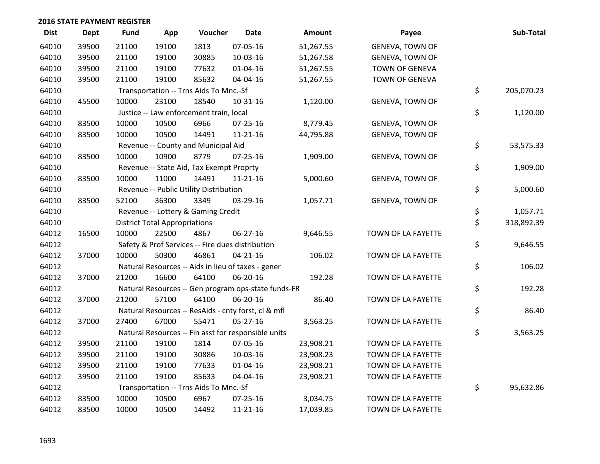| <b>Dist</b> | <b>Dept</b> | <b>Fund</b> | App                                  | Voucher                                  | <b>Date</b>                                         | Amount    | Payee                  | Sub-Total        |
|-------------|-------------|-------------|--------------------------------------|------------------------------------------|-----------------------------------------------------|-----------|------------------------|------------------|
| 64010       | 39500       | 21100       | 19100                                | 1813                                     | 07-05-16                                            | 51,267.55 | <b>GENEVA, TOWN OF</b> |                  |
| 64010       | 39500       | 21100       | 19100                                | 30885                                    | 10-03-16                                            | 51,267.58 | <b>GENEVA, TOWN OF</b> |                  |
| 64010       | 39500       | 21100       | 19100                                | 77632                                    | 01-04-16                                            | 51,267.55 | TOWN OF GENEVA         |                  |
| 64010       | 39500       | 21100       | 19100                                | 85632                                    | 04-04-16                                            | 51,267.55 | TOWN OF GENEVA         |                  |
| 64010       |             |             |                                      | Transportation -- Trns Aids To Mnc.-Sf   |                                                     |           |                        | \$<br>205,070.23 |
| 64010       | 45500       | 10000       | 23100                                | 18540                                    | $10-31-16$                                          | 1,120.00  | <b>GENEVA, TOWN OF</b> |                  |
| 64010       |             |             |                                      | Justice -- Law enforcement train, local  |                                                     |           |                        | \$<br>1,120.00   |
| 64010       | 83500       | 10000       | 10500                                | 6966                                     | $07 - 25 - 16$                                      | 8,779.45  | <b>GENEVA, TOWN OF</b> |                  |
| 64010       | 83500       | 10000       | 10500                                | 14491                                    | $11 - 21 - 16$                                      | 44,795.88 | GENEVA, TOWN OF        |                  |
| 64010       |             |             |                                      | Revenue -- County and Municipal Aid      |                                                     |           |                        | \$<br>53,575.33  |
| 64010       | 83500       | 10000       | 10900                                | 8779                                     | $07 - 25 - 16$                                      | 1,909.00  | <b>GENEVA, TOWN OF</b> |                  |
| 64010       |             |             |                                      | Revenue -- State Aid, Tax Exempt Proprty |                                                     |           |                        | \$<br>1,909.00   |
| 64010       | 83500       | 10000       | 11000                                | 14491                                    | $11 - 21 - 16$                                      | 5,000.60  | <b>GENEVA, TOWN OF</b> |                  |
| 64010       |             |             |                                      | Revenue -- Public Utility Distribution   |                                                     |           |                        | \$<br>5,000.60   |
| 64010       | 83500       | 52100       | 36300                                | 3349                                     | 03-29-16                                            | 1,057.71  | <b>GENEVA, TOWN OF</b> |                  |
| 64010       |             |             |                                      | Revenue -- Lottery & Gaming Credit       |                                                     |           |                        | \$<br>1,057.71   |
| 64010       |             |             | <b>District Total Appropriations</b> |                                          |                                                     |           |                        | \$<br>318,892.39 |
| 64012       | 16500       | 10000       | 22500                                | 4867                                     | 06-27-16                                            | 9,646.55  | TOWN OF LA FAYETTE     |                  |
| 64012       |             |             |                                      |                                          | Safety & Prof Services -- Fire dues distribution    |           |                        | \$<br>9,646.55   |
| 64012       | 37000       | 10000       | 50300                                | 46861                                    | $04 - 21 - 16$                                      | 106.02    | TOWN OF LA FAYETTE     |                  |
| 64012       |             |             |                                      |                                          | Natural Resources -- Aids in lieu of taxes - gener  |           |                        | \$<br>106.02     |
| 64012       | 37000       | 21200       | 16600                                | 64100                                    | 06-20-16                                            | 192.28    | TOWN OF LA FAYETTE     |                  |
| 64012       |             |             |                                      |                                          | Natural Resources -- Gen program ops-state funds-FR |           |                        | \$<br>192.28     |
| 64012       | 37000       | 21200       | 57100                                | 64100                                    | 06-20-16                                            | 86.40     | TOWN OF LA FAYETTE     |                  |
| 64012       |             |             |                                      |                                          | Natural Resources -- ResAids - cnty forst, cl & mfl |           |                        | \$<br>86.40      |
| 64012       | 37000       | 27400       | 67000                                | 55471                                    | 05-27-16                                            | 3,563.25  | TOWN OF LA FAYETTE     |                  |
| 64012       |             |             |                                      |                                          | Natural Resources -- Fin asst for responsible units |           |                        | \$<br>3,563.25   |
| 64012       | 39500       | 21100       | 19100                                | 1814                                     | 07-05-16                                            | 23,908.21 | TOWN OF LA FAYETTE     |                  |
| 64012       | 39500       | 21100       | 19100                                | 30886                                    | 10-03-16                                            | 23,908.23 | TOWN OF LA FAYETTE     |                  |
| 64012       | 39500       | 21100       | 19100                                | 77633                                    | 01-04-16                                            | 23,908.21 | TOWN OF LA FAYETTE     |                  |
| 64012       | 39500       | 21100       | 19100                                | 85633                                    | 04-04-16                                            | 23,908.21 | TOWN OF LA FAYETTE     |                  |
| 64012       |             |             |                                      | Transportation -- Trns Aids To Mnc.-Sf   |                                                     |           |                        | \$<br>95,632.86  |
| 64012       | 83500       | 10000       | 10500                                | 6967                                     | 07-25-16                                            | 3,034.75  | TOWN OF LA FAYETTE     |                  |
| 64012       | 83500       | 10000       | 10500                                | 14492                                    | $11 - 21 - 16$                                      | 17,039.85 | TOWN OF LA FAYETTE     |                  |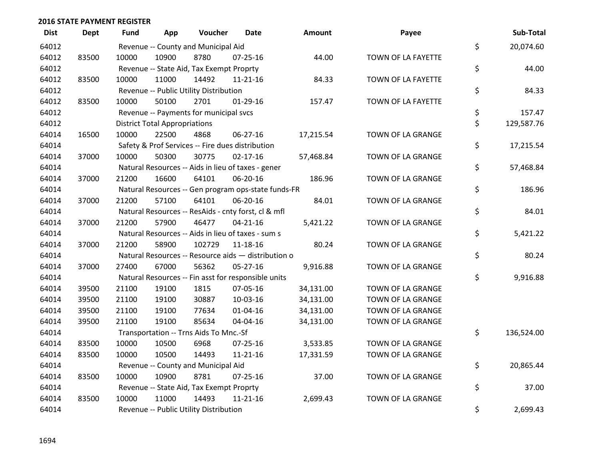| <b>Dist</b> | <b>Dept</b> | <b>Fund</b> | App                                  | Voucher                                  | <b>Date</b>                                         | Amount    | Payee              | Sub-Total        |
|-------------|-------------|-------------|--------------------------------------|------------------------------------------|-----------------------------------------------------|-----------|--------------------|------------------|
| 64012       |             |             |                                      | Revenue -- County and Municipal Aid      |                                                     |           |                    | \$<br>20,074.60  |
| 64012       | 83500       | 10000       | 10900                                | 8780                                     | $07 - 25 - 16$                                      | 44.00     | TOWN OF LA FAYETTE |                  |
| 64012       |             |             |                                      | Revenue -- State Aid, Tax Exempt Proprty |                                                     |           |                    | \$<br>44.00      |
| 64012       | 83500       | 10000       | 11000                                | 14492                                    | 11-21-16                                            | 84.33     | TOWN OF LA FAYETTE |                  |
| 64012       |             |             |                                      | Revenue -- Public Utility Distribution   |                                                     |           |                    | \$<br>84.33      |
| 64012       | 83500       | 10000       | 50100                                | 2701                                     | $01-29-16$                                          | 157.47    | TOWN OF LA FAYETTE |                  |
| 64012       |             |             |                                      | Revenue -- Payments for municipal svcs   |                                                     |           |                    | \$<br>157.47     |
| 64012       |             |             | <b>District Total Appropriations</b> |                                          |                                                     |           |                    | \$<br>129,587.76 |
| 64014       | 16500       | 10000       | 22500                                | 4868                                     | 06-27-16                                            | 17,215.54 | TOWN OF LA GRANGE  |                  |
| 64014       |             |             |                                      |                                          | Safety & Prof Services -- Fire dues distribution    |           |                    | \$<br>17,215.54  |
| 64014       | 37000       | 10000       | 50300                                | 30775                                    | $02 - 17 - 16$                                      | 57,468.84 | TOWN OF LA GRANGE  |                  |
| 64014       |             |             |                                      |                                          | Natural Resources -- Aids in lieu of taxes - gener  |           |                    | \$<br>57,468.84  |
| 64014       | 37000       | 21200       | 16600                                | 64101                                    | 06-20-16                                            | 186.96    | TOWN OF LA GRANGE  |                  |
| 64014       |             |             |                                      |                                          | Natural Resources -- Gen program ops-state funds-FR |           |                    | \$<br>186.96     |
| 64014       | 37000       | 21200       | 57100                                | 64101                                    | 06-20-16                                            | 84.01     | TOWN OF LA GRANGE  |                  |
| 64014       |             |             |                                      |                                          | Natural Resources -- ResAids - cnty forst, cl & mfl |           |                    | \$<br>84.01      |
| 64014       | 37000       | 21200       | 57900                                | 46477                                    | $04 - 21 - 16$                                      | 5,421.22  | TOWN OF LA GRANGE  |                  |
| 64014       |             |             |                                      |                                          | Natural Resources -- Aids in lieu of taxes - sum s  |           |                    | \$<br>5,421.22   |
| 64014       | 37000       | 21200       | 58900                                | 102729                                   | 11-18-16                                            | 80.24     | TOWN OF LA GRANGE  |                  |
| 64014       |             |             |                                      |                                          | Natural Resources -- Resource aids - distribution o |           |                    | \$<br>80.24      |
| 64014       | 37000       | 27400       | 67000                                | 56362                                    | $05 - 27 - 16$                                      | 9,916.88  | TOWN OF LA GRANGE  |                  |
| 64014       |             |             |                                      |                                          | Natural Resources -- Fin asst for responsible units |           |                    | \$<br>9,916.88   |
| 64014       | 39500       | 21100       | 19100                                | 1815                                     | 07-05-16                                            | 34,131.00 | TOWN OF LA GRANGE  |                  |
| 64014       | 39500       | 21100       | 19100                                | 30887                                    | 10-03-16                                            | 34,131.00 | TOWN OF LA GRANGE  |                  |
| 64014       | 39500       | 21100       | 19100                                | 77634                                    | 01-04-16                                            | 34,131.00 | TOWN OF LA GRANGE  |                  |
| 64014       | 39500       | 21100       | 19100                                | 85634                                    | 04-04-16                                            | 34,131.00 | TOWN OF LA GRANGE  |                  |
| 64014       |             |             |                                      | Transportation -- Trns Aids To Mnc.-Sf   |                                                     |           |                    | \$<br>136,524.00 |
| 64014       | 83500       | 10000       | 10500                                | 6968                                     | 07-25-16                                            | 3,533.85  | TOWN OF LA GRANGE  |                  |
| 64014       | 83500       | 10000       | 10500                                | 14493                                    | $11 - 21 - 16$                                      | 17,331.59 | TOWN OF LA GRANGE  |                  |
| 64014       |             |             |                                      | Revenue -- County and Municipal Aid      |                                                     |           |                    | \$<br>20,865.44  |
| 64014       | 83500       | 10000       | 10900                                | 8781                                     | $07 - 25 - 16$                                      | 37.00     | TOWN OF LA GRANGE  |                  |
| 64014       |             |             |                                      | Revenue -- State Aid, Tax Exempt Proprty |                                                     |           |                    | \$<br>37.00      |
| 64014       | 83500       | 10000       | 11000                                | 14493                                    | $11 - 21 - 16$                                      | 2,699.43  | TOWN OF LA GRANGE  |                  |
| 64014       |             |             |                                      | Revenue -- Public Utility Distribution   |                                                     |           |                    | \$<br>2,699.43   |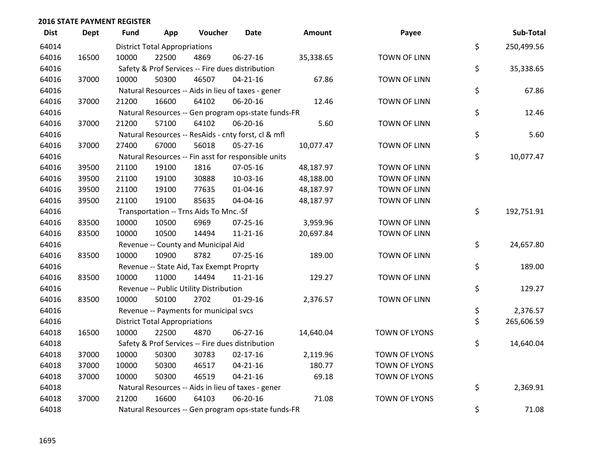| <b>Dist</b> | Dept  | Fund  | App                                  | Voucher                                  | Date                                                | Amount    | Payee                | Sub-Total        |
|-------------|-------|-------|--------------------------------------|------------------------------------------|-----------------------------------------------------|-----------|----------------------|------------------|
| 64014       |       |       | <b>District Total Appropriations</b> |                                          |                                                     |           |                      | \$<br>250,499.56 |
| 64016       | 16500 | 10000 | 22500                                | 4869                                     | 06-27-16                                            | 35,338.65 | <b>TOWN OF LINN</b>  |                  |
| 64016       |       |       |                                      |                                          | Safety & Prof Services -- Fire dues distribution    |           |                      | \$<br>35,338.65  |
| 64016       | 37000 | 10000 | 50300                                | 46507                                    | $04 - 21 - 16$                                      | 67.86     | <b>TOWN OF LINN</b>  |                  |
| 64016       |       |       |                                      |                                          | Natural Resources -- Aids in lieu of taxes - gener  |           |                      | \$<br>67.86      |
| 64016       | 37000 | 21200 | 16600                                | 64102                                    | 06-20-16                                            | 12.46     | <b>TOWN OF LINN</b>  |                  |
| 64016       |       |       |                                      |                                          | Natural Resources -- Gen program ops-state funds-FR |           |                      | \$<br>12.46      |
| 64016       | 37000 | 21200 | 57100                                | 64102                                    | 06-20-16                                            | 5.60      | <b>TOWN OF LINN</b>  |                  |
| 64016       |       |       |                                      |                                          | Natural Resources -- ResAids - cnty forst, cl & mfl |           |                      | \$<br>5.60       |
| 64016       | 37000 | 27400 | 67000                                | 56018                                    | 05-27-16                                            | 10,077.47 | TOWN OF LINN         |                  |
| 64016       |       |       |                                      |                                          | Natural Resources -- Fin asst for responsible units |           |                      | \$<br>10,077.47  |
| 64016       | 39500 | 21100 | 19100                                | 1816                                     | 07-05-16                                            | 48,187.97 | <b>TOWN OF LINN</b>  |                  |
| 64016       | 39500 | 21100 | 19100                                | 30888                                    | 10-03-16                                            | 48,188.00 | <b>TOWN OF LINN</b>  |                  |
| 64016       | 39500 | 21100 | 19100                                | 77635                                    | $01 - 04 - 16$                                      | 48,187.97 | <b>TOWN OF LINN</b>  |                  |
| 64016       | 39500 | 21100 | 19100                                | 85635                                    | 04-04-16                                            | 48,187.97 | <b>TOWN OF LINN</b>  |                  |
| 64016       |       |       |                                      | Transportation -- Trns Aids To Mnc.-Sf   |                                                     |           |                      | \$<br>192,751.91 |
| 64016       | 83500 | 10000 | 10500                                | 6969                                     | $07 - 25 - 16$                                      | 3,959.96  | <b>TOWN OF LINN</b>  |                  |
| 64016       | 83500 | 10000 | 10500                                | 14494                                    | $11 - 21 - 16$                                      | 20,697.84 | <b>TOWN OF LINN</b>  |                  |
| 64016       |       |       |                                      | Revenue -- County and Municipal Aid      |                                                     |           |                      | \$<br>24,657.80  |
| 64016       | 83500 | 10000 | 10900                                | 8782                                     | $07 - 25 - 16$                                      | 189.00    | <b>TOWN OF LINN</b>  |                  |
| 64016       |       |       |                                      | Revenue -- State Aid, Tax Exempt Proprty |                                                     |           |                      | \$<br>189.00     |
| 64016       | 83500 | 10000 | 11000                                | 14494                                    | $11 - 21 - 16$                                      | 129.27    | <b>TOWN OF LINN</b>  |                  |
| 64016       |       |       |                                      | Revenue -- Public Utility Distribution   |                                                     |           |                      | \$<br>129.27     |
| 64016       | 83500 | 10000 | 50100                                | 2702                                     | 01-29-16                                            | 2,376.57  | <b>TOWN OF LINN</b>  |                  |
| 64016       |       |       |                                      | Revenue -- Payments for municipal svcs   |                                                     |           |                      | \$<br>2,376.57   |
| 64016       |       |       | <b>District Total Appropriations</b> |                                          |                                                     |           |                      | \$<br>265,606.59 |
| 64018       | 16500 | 10000 | 22500                                | 4870                                     | 06-27-16                                            | 14,640.04 | <b>TOWN OF LYONS</b> |                  |
| 64018       |       |       |                                      |                                          | Safety & Prof Services -- Fire dues distribution    |           |                      | \$<br>14,640.04  |
| 64018       | 37000 | 10000 | 50300                                | 30783                                    | $02 - 17 - 16$                                      | 2,119.96  | <b>TOWN OF LYONS</b> |                  |
| 64018       | 37000 | 10000 | 50300                                | 46517                                    | $04 - 21 - 16$                                      | 180.77    | TOWN OF LYONS        |                  |
| 64018       | 37000 | 10000 | 50300                                | 46519                                    | $04 - 21 - 16$                                      | 69.18     | <b>TOWN OF LYONS</b> |                  |
| 64018       |       |       |                                      |                                          | Natural Resources -- Aids in lieu of taxes - gener  |           |                      | \$<br>2,369.91   |
| 64018       | 37000 | 21200 | 16600                                | 64103                                    | 06-20-16                                            | 71.08     | <b>TOWN OF LYONS</b> |                  |
| 64018       |       |       |                                      |                                          | Natural Resources -- Gen program ops-state funds-FR |           |                      | \$<br>71.08      |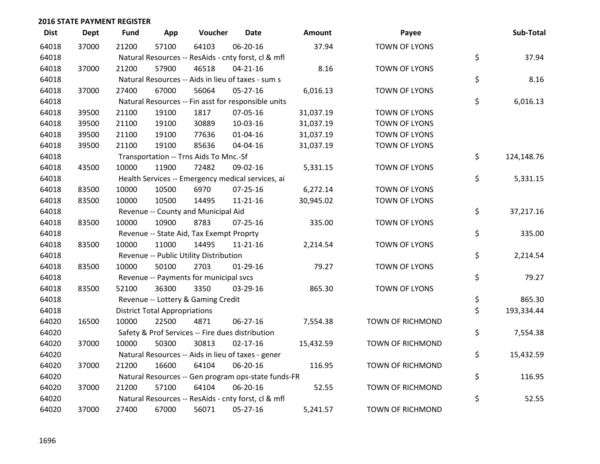| <b>Dist</b> | <b>Dept</b> | <b>Fund</b> | App                                  | Voucher                                             | Date           | Amount    | Payee                   | Sub-Total        |
|-------------|-------------|-------------|--------------------------------------|-----------------------------------------------------|----------------|-----------|-------------------------|------------------|
| 64018       | 37000       | 21200       | 57100                                | 64103                                               | 06-20-16       | 37.94     | <b>TOWN OF LYONS</b>    |                  |
| 64018       |             |             |                                      | Natural Resources -- ResAids - cnty forst, cl & mfl |                |           |                         | \$<br>37.94      |
| 64018       | 37000       | 21200       | 57900                                | 46518                                               | $04 - 21 - 16$ | 8.16      | <b>TOWN OF LYONS</b>    |                  |
| 64018       |             |             |                                      | Natural Resources -- Aids in lieu of taxes - sum s  |                |           |                         | \$<br>8.16       |
| 64018       | 37000       | 27400       | 67000                                | 56064                                               | $05 - 27 - 16$ | 6,016.13  | TOWN OF LYONS           |                  |
| 64018       |             |             |                                      | Natural Resources -- Fin asst for responsible units |                |           |                         | \$<br>6,016.13   |
| 64018       | 39500       | 21100       | 19100                                | 1817                                                | 07-05-16       | 31,037.19 | TOWN OF LYONS           |                  |
| 64018       | 39500       | 21100       | 19100                                | 30889                                               | 10-03-16       | 31,037.19 | <b>TOWN OF LYONS</b>    |                  |
| 64018       | 39500       | 21100       | 19100                                | 77636                                               | $01 - 04 - 16$ | 31,037.19 | TOWN OF LYONS           |                  |
| 64018       | 39500       | 21100       | 19100                                | 85636                                               | 04-04-16       | 31,037.19 | TOWN OF LYONS           |                  |
| 64018       |             |             |                                      | Transportation -- Trns Aids To Mnc.-Sf              |                |           |                         | \$<br>124,148.76 |
| 64018       | 43500       | 10000       | 11900                                | 72482                                               | 09-02-16       | 5,331.15  | TOWN OF LYONS           |                  |
| 64018       |             |             |                                      | Health Services -- Emergency medical services, ai   |                |           |                         | \$<br>5,331.15   |
| 64018       | 83500       | 10000       | 10500                                | 6970                                                | $07 - 25 - 16$ | 6,272.14  | <b>TOWN OF LYONS</b>    |                  |
| 64018       | 83500       | 10000       | 10500                                | 14495                                               | $11 - 21 - 16$ | 30,945.02 | TOWN OF LYONS           |                  |
| 64018       |             |             |                                      | Revenue -- County and Municipal Aid                 |                |           |                         | \$<br>37,217.16  |
| 64018       | 83500       | 10000       | 10900                                | 8783                                                | 07-25-16       | 335.00    | TOWN OF LYONS           |                  |
| 64018       |             |             |                                      | Revenue -- State Aid, Tax Exempt Proprty            |                |           |                         | \$<br>335.00     |
| 64018       | 83500       | 10000       | 11000                                | 14495                                               | $11 - 21 - 16$ | 2,214.54  | TOWN OF LYONS           |                  |
| 64018       |             |             |                                      | Revenue -- Public Utility Distribution              |                |           |                         | \$<br>2,214.54   |
| 64018       | 83500       | 10000       | 50100                                | 2703                                                | $01-29-16$     | 79.27     | <b>TOWN OF LYONS</b>    |                  |
| 64018       |             |             |                                      | Revenue -- Payments for municipal svcs              |                |           |                         | \$<br>79.27      |
| 64018       | 83500       | 52100       | 36300                                | 3350                                                | 03-29-16       | 865.30    | TOWN OF LYONS           |                  |
| 64018       |             |             |                                      | Revenue -- Lottery & Gaming Credit                  |                |           |                         | \$<br>865.30     |
| 64018       |             |             | <b>District Total Appropriations</b> |                                                     |                |           |                         | \$<br>193,334.44 |
| 64020       | 16500       | 10000       | 22500                                | 4871                                                | $06 - 27 - 16$ | 7,554.38  | TOWN OF RICHMOND        |                  |
| 64020       |             |             |                                      | Safety & Prof Services -- Fire dues distribution    |                |           |                         | \$<br>7,554.38   |
| 64020       | 37000       | 10000       | 50300                                | 30813                                               | $02 - 17 - 16$ | 15,432.59 | TOWN OF RICHMOND        |                  |
| 64020       |             |             |                                      | Natural Resources -- Aids in lieu of taxes - gener  |                |           |                         | \$<br>15,432.59  |
| 64020       | 37000       | 21200       | 16600                                | 64104                                               | 06-20-16       | 116.95    | <b>TOWN OF RICHMOND</b> |                  |
| 64020       |             |             |                                      | Natural Resources -- Gen program ops-state funds-FR |                |           |                         | \$<br>116.95     |
| 64020       | 37000       | 21200       | 57100                                | 64104                                               | 06-20-16       | 52.55     | <b>TOWN OF RICHMOND</b> |                  |
| 64020       |             |             |                                      | Natural Resources -- ResAids - cnty forst, cl & mfl |                |           |                         | \$<br>52.55      |
| 64020       | 37000       | 27400       | 67000                                | 56071                                               | 05-27-16       | 5,241.57  | <b>TOWN OF RICHMOND</b> |                  |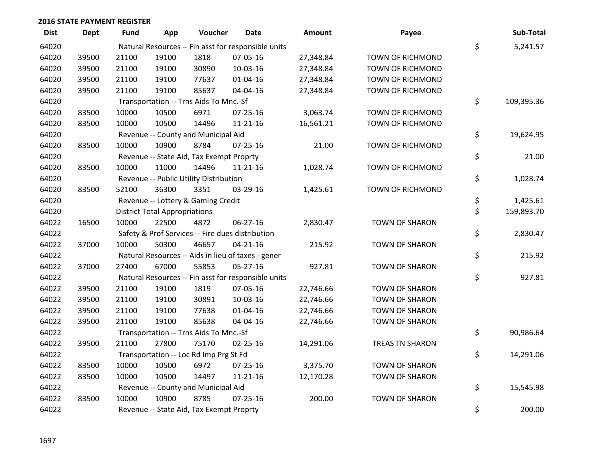| <b>Dist</b> | Dept  | Fund  | App                                  | Voucher                                  | Date                                                | Amount    | Payee                   | Sub-Total        |
|-------------|-------|-------|--------------------------------------|------------------------------------------|-----------------------------------------------------|-----------|-------------------------|------------------|
| 64020       |       |       |                                      |                                          | Natural Resources -- Fin asst for responsible units |           |                         | \$<br>5,241.57   |
| 64020       | 39500 | 21100 | 19100                                | 1818                                     | 07-05-16                                            | 27,348.84 | TOWN OF RICHMOND        |                  |
| 64020       | 39500 | 21100 | 19100                                | 30890                                    | 10-03-16                                            | 27,348.84 | TOWN OF RICHMOND        |                  |
| 64020       | 39500 | 21100 | 19100                                | 77637                                    | $01 - 04 - 16$                                      | 27,348.84 | <b>TOWN OF RICHMOND</b> |                  |
| 64020       | 39500 | 21100 | 19100                                | 85637                                    | 04-04-16                                            | 27,348.84 | <b>TOWN OF RICHMOND</b> |                  |
| 64020       |       |       |                                      | Transportation -- Trns Aids To Mnc.-Sf   |                                                     |           |                         | \$<br>109,395.36 |
| 64020       | 83500 | 10000 | 10500                                | 6971                                     | $07 - 25 - 16$                                      | 3,063.74  | TOWN OF RICHMOND        |                  |
| 64020       | 83500 | 10000 | 10500                                | 14496                                    | $11 - 21 - 16$                                      | 16,561.21 | <b>TOWN OF RICHMOND</b> |                  |
| 64020       |       |       |                                      | Revenue -- County and Municipal Aid      |                                                     |           |                         | \$<br>19,624.95  |
| 64020       | 83500 | 10000 | 10900                                | 8784                                     | $07 - 25 - 16$                                      | 21.00     | <b>TOWN OF RICHMOND</b> |                  |
| 64020       |       |       |                                      | Revenue -- State Aid, Tax Exempt Proprty |                                                     |           |                         | \$<br>21.00      |
| 64020       | 83500 | 10000 | 11000                                | 14496                                    | $11 - 21 - 16$                                      | 1,028.74  | TOWN OF RICHMOND        |                  |
| 64020       |       |       |                                      | Revenue -- Public Utility Distribution   |                                                     |           |                         | \$<br>1,028.74   |
| 64020       | 83500 | 52100 | 36300                                | 3351                                     | 03-29-16                                            | 1,425.61  | <b>TOWN OF RICHMOND</b> |                  |
| 64020       |       |       |                                      | Revenue -- Lottery & Gaming Credit       |                                                     |           |                         | \$<br>1,425.61   |
| 64020       |       |       | <b>District Total Appropriations</b> |                                          |                                                     |           |                         | \$<br>159,893.70 |
| 64022       | 16500 | 10000 | 22500                                | 4872                                     | 06-27-16                                            | 2,830.47  | <b>TOWN OF SHARON</b>   |                  |
| 64022       |       |       |                                      |                                          | Safety & Prof Services -- Fire dues distribution    |           |                         | \$<br>2,830.47   |
| 64022       | 37000 | 10000 | 50300                                | 46657                                    | $04 - 21 - 16$                                      | 215.92    | <b>TOWN OF SHARON</b>   |                  |
| 64022       |       |       |                                      |                                          | Natural Resources -- Aids in lieu of taxes - gener  |           |                         | \$<br>215.92     |
| 64022       | 37000 | 27400 | 67000                                | 55853                                    | 05-27-16                                            | 927.81    | TOWN OF SHARON          |                  |
| 64022       |       |       |                                      |                                          | Natural Resources -- Fin asst for responsible units |           |                         | \$<br>927.81     |
| 64022       | 39500 | 21100 | 19100                                | 1819                                     | 07-05-16                                            | 22,746.66 | TOWN OF SHARON          |                  |
| 64022       | 39500 | 21100 | 19100                                | 30891                                    | 10-03-16                                            | 22,746.66 | <b>TOWN OF SHARON</b>   |                  |
| 64022       | 39500 | 21100 | 19100                                | 77638                                    | $01 - 04 - 16$                                      | 22,746.66 | <b>TOWN OF SHARON</b>   |                  |
| 64022       | 39500 | 21100 | 19100                                | 85638                                    | 04-04-16                                            | 22,746.66 | <b>TOWN OF SHARON</b>   |                  |
| 64022       |       |       |                                      | Transportation -- Trns Aids To Mnc.-Sf   |                                                     |           |                         | \$<br>90,986.64  |
| 64022       | 39500 | 21100 | 27800                                | 75170                                    | $02 - 25 - 16$                                      | 14,291.06 | TREAS TN SHARON         |                  |
| 64022       |       |       |                                      | Transportation -- Loc Rd Imp Prg St Fd   |                                                     |           |                         | \$<br>14,291.06  |
| 64022       | 83500 | 10000 | 10500                                | 6972                                     | 07-25-16                                            | 3,375.70  | <b>TOWN OF SHARON</b>   |                  |
| 64022       | 83500 | 10000 | 10500                                | 14497                                    | $11 - 21 - 16$                                      | 12,170.28 | TOWN OF SHARON          |                  |
| 64022       |       |       |                                      | Revenue -- County and Municipal Aid      |                                                     |           |                         | \$<br>15,545.98  |
| 64022       | 83500 | 10000 | 10900                                | 8785                                     | $07 - 25 - 16$                                      | 200.00    | <b>TOWN OF SHARON</b>   |                  |
| 64022       |       |       |                                      | Revenue -- State Aid, Tax Exempt Proprty |                                                     |           |                         | \$<br>200.00     |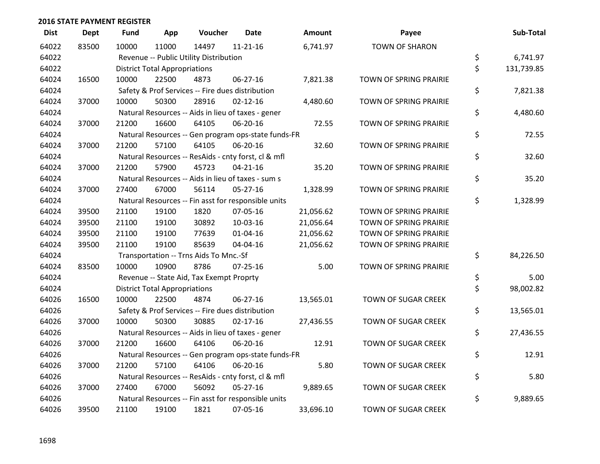| <b>Dist</b> | <b>Dept</b> | Fund  | App                                  | Voucher                                  | <b>Date</b>                                         | <b>Amount</b> | Payee                      | Sub-Total        |
|-------------|-------------|-------|--------------------------------------|------------------------------------------|-----------------------------------------------------|---------------|----------------------------|------------------|
| 64022       | 83500       | 10000 | 11000                                | 14497                                    | $11 - 21 - 16$                                      | 6,741.97      | <b>TOWN OF SHARON</b>      |                  |
| 64022       |             |       |                                      | Revenue -- Public Utility Distribution   |                                                     |               |                            | \$<br>6,741.97   |
| 64022       |             |       | <b>District Total Appropriations</b> |                                          |                                                     |               |                            | \$<br>131,739.85 |
| 64024       | 16500       | 10000 | 22500                                | 4873                                     | $06 - 27 - 16$                                      | 7,821.38      | TOWN OF SPRING PRAIRIE     |                  |
| 64024       |             |       |                                      |                                          | Safety & Prof Services -- Fire dues distribution    |               |                            | \$<br>7,821.38   |
| 64024       | 37000       | 10000 | 50300                                | 28916                                    | $02 - 12 - 16$                                      | 4,480.60      | TOWN OF SPRING PRAIRIE     |                  |
| 64024       |             |       |                                      |                                          | Natural Resources -- Aids in lieu of taxes - gener  |               |                            | \$<br>4,480.60   |
| 64024       | 37000       | 21200 | 16600                                | 64105                                    | 06-20-16                                            | 72.55         | TOWN OF SPRING PRAIRIE     |                  |
| 64024       |             |       |                                      |                                          | Natural Resources -- Gen program ops-state funds-FR |               |                            | \$<br>72.55      |
| 64024       | 37000       | 21200 | 57100                                | 64105                                    | 06-20-16                                            | 32.60         | TOWN OF SPRING PRAIRIE     |                  |
| 64024       |             |       |                                      |                                          | Natural Resources -- ResAids - cnty forst, cl & mfl |               |                            | \$<br>32.60      |
| 64024       | 37000       | 21200 | 57900                                | 45723                                    | $04 - 21 - 16$                                      | 35.20         | TOWN OF SPRING PRAIRIE     |                  |
| 64024       |             |       |                                      |                                          | Natural Resources -- Aids in lieu of taxes - sum s  |               |                            | \$<br>35.20      |
| 64024       | 37000       | 27400 | 67000                                | 56114                                    | $05 - 27 - 16$                                      | 1,328.99      | TOWN OF SPRING PRAIRIE     |                  |
| 64024       |             |       |                                      |                                          | Natural Resources -- Fin asst for responsible units |               |                            | \$<br>1,328.99   |
| 64024       | 39500       | 21100 | 19100                                | 1820                                     | 07-05-16                                            | 21,056.62     | TOWN OF SPRING PRAIRIE     |                  |
| 64024       | 39500       | 21100 | 19100                                | 30892                                    | 10-03-16                                            | 21,056.64     | TOWN OF SPRING PRAIRIE     |                  |
| 64024       | 39500       | 21100 | 19100                                | 77639                                    | $01 - 04 - 16$                                      | 21,056.62     | TOWN OF SPRING PRAIRIE     |                  |
| 64024       | 39500       | 21100 | 19100                                | 85639                                    | 04-04-16                                            | 21,056.62     | TOWN OF SPRING PRAIRIE     |                  |
| 64024       |             |       |                                      | Transportation -- Trns Aids To Mnc.-Sf   |                                                     |               |                            | \$<br>84,226.50  |
| 64024       | 83500       | 10000 | 10900                                | 8786                                     | $07 - 25 - 16$                                      | 5.00          | TOWN OF SPRING PRAIRIE     |                  |
| 64024       |             |       |                                      | Revenue -- State Aid, Tax Exempt Proprty |                                                     |               |                            | \$<br>5.00       |
| 64024       |             |       | <b>District Total Appropriations</b> |                                          |                                                     |               |                            | \$<br>98,002.82  |
| 64026       | 16500       | 10000 | 22500                                | 4874                                     | 06-27-16                                            | 13,565.01     | TOWN OF SUGAR CREEK        |                  |
| 64026       |             |       |                                      |                                          | Safety & Prof Services -- Fire dues distribution    |               |                            | \$<br>13,565.01  |
| 64026       | 37000       | 10000 | 50300                                | 30885                                    | $02 - 17 - 16$                                      | 27,436.55     | TOWN OF SUGAR CREEK        |                  |
| 64026       |             |       |                                      |                                          | Natural Resources -- Aids in lieu of taxes - gener  |               |                            | \$<br>27,436.55  |
| 64026       | 37000       | 21200 | 16600                                | 64106                                    | 06-20-16                                            | 12.91         | <b>TOWN OF SUGAR CREEK</b> |                  |
| 64026       |             |       |                                      |                                          | Natural Resources -- Gen program ops-state funds-FR |               |                            | \$<br>12.91      |
| 64026       | 37000       | 21200 | 57100                                | 64106                                    | 06-20-16                                            | 5.80          | TOWN OF SUGAR CREEK        |                  |
| 64026       |             |       |                                      |                                          | Natural Resources -- ResAids - cnty forst, cl & mfl |               |                            | \$<br>5.80       |
| 64026       | 37000       | 27400 | 67000                                | 56092                                    | $05 - 27 - 16$                                      | 9,889.65      | <b>TOWN OF SUGAR CREEK</b> |                  |
| 64026       |             |       |                                      |                                          | Natural Resources -- Fin asst for responsible units |               |                            | \$<br>9,889.65   |
| 64026       | 39500       | 21100 | 19100                                | 1821                                     | 07-05-16                                            | 33,696.10     | <b>TOWN OF SUGAR CREEK</b> |                  |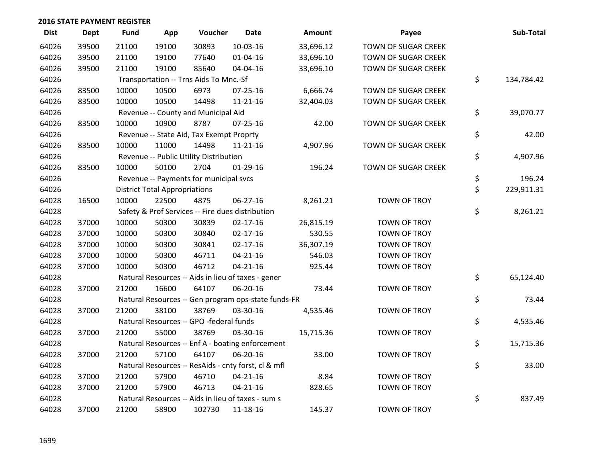| <b>Dist</b> | <b>Dept</b> | <b>Fund</b> | App                                  | Voucher                                  | <b>Date</b>                                         | Amount    | Payee               | Sub-Total        |
|-------------|-------------|-------------|--------------------------------------|------------------------------------------|-----------------------------------------------------|-----------|---------------------|------------------|
| 64026       | 39500       | 21100       | 19100                                | 30893                                    | 10-03-16                                            | 33,696.12 | TOWN OF SUGAR CREEK |                  |
| 64026       | 39500       | 21100       | 19100                                | 77640                                    | 01-04-16                                            | 33,696.10 | TOWN OF SUGAR CREEK |                  |
| 64026       | 39500       | 21100       | 19100                                | 85640                                    | 04-04-16                                            | 33,696.10 | TOWN OF SUGAR CREEK |                  |
| 64026       |             |             |                                      | Transportation -- Trns Aids To Mnc.-Sf   |                                                     |           |                     | \$<br>134,784.42 |
| 64026       | 83500       | 10000       | 10500                                | 6973                                     | $07 - 25 - 16$                                      | 6,666.74  | TOWN OF SUGAR CREEK |                  |
| 64026       | 83500       | 10000       | 10500                                | 14498                                    | $11 - 21 - 16$                                      | 32,404.03 | TOWN OF SUGAR CREEK |                  |
| 64026       |             |             |                                      | Revenue -- County and Municipal Aid      |                                                     |           |                     | \$<br>39,070.77  |
| 64026       | 83500       | 10000       | 10900                                | 8787                                     | 07-25-16                                            | 42.00     | TOWN OF SUGAR CREEK |                  |
| 64026       |             |             |                                      | Revenue -- State Aid, Tax Exempt Proprty |                                                     |           |                     | \$<br>42.00      |
| 64026       | 83500       | 10000       | 11000                                | 14498                                    | $11 - 21 - 16$                                      | 4,907.96  | TOWN OF SUGAR CREEK |                  |
| 64026       |             |             |                                      | Revenue -- Public Utility Distribution   |                                                     |           |                     | \$<br>4,907.96   |
| 64026       | 83500       | 10000       | 50100                                | 2704                                     | $01-29-16$                                          | 196.24    | TOWN OF SUGAR CREEK |                  |
| 64026       |             |             |                                      | Revenue -- Payments for municipal svcs   |                                                     |           |                     | \$<br>196.24     |
| 64026       |             |             | <b>District Total Appropriations</b> |                                          |                                                     |           |                     | \$<br>229,911.31 |
| 64028       | 16500       | 10000       | 22500                                | 4875                                     | $06 - 27 - 16$                                      | 8,261.21  | <b>TOWN OF TROY</b> |                  |
| 64028       |             |             |                                      |                                          | Safety & Prof Services -- Fire dues distribution    |           |                     | \$<br>8,261.21   |
| 64028       | 37000       | 10000       | 50300                                | 30839                                    | $02 - 17 - 16$                                      | 26,815.19 | TOWN OF TROY        |                  |
| 64028       | 37000       | 10000       | 50300                                | 30840                                    | $02 - 17 - 16$                                      | 530.55    | <b>TOWN OF TROY</b> |                  |
| 64028       | 37000       | 10000       | 50300                                | 30841                                    | $02 - 17 - 16$                                      | 36,307.19 | <b>TOWN OF TROY</b> |                  |
| 64028       | 37000       | 10000       | 50300                                | 46711                                    | $04 - 21 - 16$                                      | 546.03    | <b>TOWN OF TROY</b> |                  |
| 64028       | 37000       | 10000       | 50300                                | 46712                                    | $04 - 21 - 16$                                      | 925.44    | TOWN OF TROY        |                  |
| 64028       |             |             |                                      |                                          | Natural Resources -- Aids in lieu of taxes - gener  |           |                     | \$<br>65,124.40  |
| 64028       | 37000       | 21200       | 16600                                | 64107                                    | 06-20-16                                            | 73.44     | TOWN OF TROY        |                  |
| 64028       |             |             |                                      |                                          | Natural Resources -- Gen program ops-state funds-FR |           |                     | \$<br>73.44      |
| 64028       | 37000       | 21200       | 38100                                | 38769                                    | 03-30-16                                            | 4,535.46  | TOWN OF TROY        |                  |
| 64028       |             |             |                                      | Natural Resources -- GPO -federal funds  |                                                     |           |                     | \$<br>4,535.46   |
| 64028       | 37000       | 21200       | 55000                                | 38769                                    | 03-30-16                                            | 15,715.36 | TOWN OF TROY        |                  |
| 64028       |             |             |                                      |                                          | Natural Resources -- Enf A - boating enforcement    |           |                     | \$<br>15,715.36  |
| 64028       | 37000       | 21200       | 57100                                | 64107                                    | 06-20-16                                            | 33.00     | TOWN OF TROY        |                  |
| 64028       |             |             |                                      |                                          | Natural Resources -- ResAids - cnty forst, cl & mfl |           |                     | \$<br>33.00      |
| 64028       | 37000       | 21200       | 57900                                | 46710                                    | $04 - 21 - 16$                                      | 8.84      | TOWN OF TROY        |                  |
| 64028       | 37000       | 21200       | 57900                                | 46713                                    | $04 - 21 - 16$                                      | 828.65    | <b>TOWN OF TROY</b> |                  |
| 64028       |             |             |                                      |                                          | Natural Resources -- Aids in lieu of taxes - sum s  |           |                     | \$<br>837.49     |
| 64028       | 37000       | 21200       | 58900                                | 102730                                   | 11-18-16                                            | 145.37    | <b>TOWN OF TROY</b> |                  |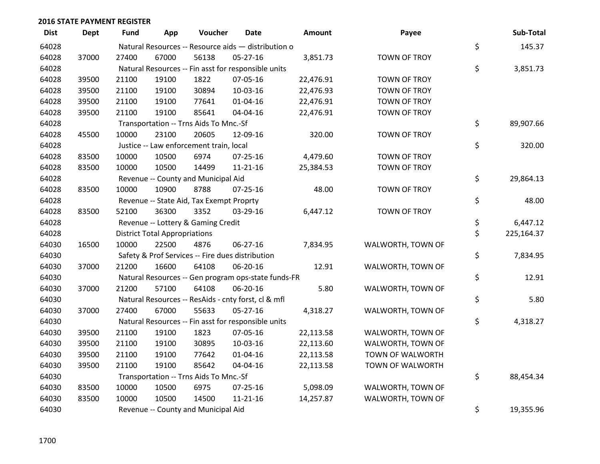| <b>Dist</b> | <b>Dept</b> | Fund  | App                                  | Voucher                                  | <b>Date</b>                                         | Amount    | Payee               | Sub-Total        |
|-------------|-------------|-------|--------------------------------------|------------------------------------------|-----------------------------------------------------|-----------|---------------------|------------------|
| 64028       |             |       |                                      |                                          | Natural Resources -- Resource aids - distribution o |           |                     | \$<br>145.37     |
| 64028       | 37000       | 27400 | 67000                                | 56138                                    | $05 - 27 - 16$                                      | 3,851.73  | <b>TOWN OF TROY</b> |                  |
| 64028       |             |       |                                      |                                          | Natural Resources -- Fin asst for responsible units |           |                     | \$<br>3,851.73   |
| 64028       | 39500       | 21100 | 19100                                | 1822                                     | 07-05-16                                            | 22,476.91 | TOWN OF TROY        |                  |
| 64028       | 39500       | 21100 | 19100                                | 30894                                    | 10-03-16                                            | 22,476.93 | TOWN OF TROY        |                  |
| 64028       | 39500       | 21100 | 19100                                | 77641                                    | $01 - 04 - 16$                                      | 22,476.91 | TOWN OF TROY        |                  |
| 64028       | 39500       | 21100 | 19100                                | 85641                                    | 04-04-16                                            | 22,476.91 | TOWN OF TROY        |                  |
| 64028       |             |       |                                      | Transportation -- Trns Aids To Mnc.-Sf   |                                                     |           |                     | \$<br>89,907.66  |
| 64028       | 45500       | 10000 | 23100                                | 20605                                    | 12-09-16                                            | 320.00    | <b>TOWN OF TROY</b> |                  |
| 64028       |             |       |                                      | Justice -- Law enforcement train, local  |                                                     |           |                     | \$<br>320.00     |
| 64028       | 83500       | 10000 | 10500                                | 6974                                     | $07 - 25 - 16$                                      | 4,479.60  | TOWN OF TROY        |                  |
| 64028       | 83500       | 10000 | 10500                                | 14499                                    | $11 - 21 - 16$                                      | 25,384.53 | <b>TOWN OF TROY</b> |                  |
| 64028       |             |       |                                      | Revenue -- County and Municipal Aid      |                                                     |           |                     | \$<br>29,864.13  |
| 64028       | 83500       | 10000 | 10900                                | 8788                                     | $07 - 25 - 16$                                      | 48.00     | TOWN OF TROY        |                  |
| 64028       |             |       |                                      | Revenue -- State Aid, Tax Exempt Proprty |                                                     |           |                     | \$<br>48.00      |
| 64028       | 83500       | 52100 | 36300                                | 3352                                     | 03-29-16                                            | 6,447.12  | <b>TOWN OF TROY</b> |                  |
| 64028       |             |       |                                      | Revenue -- Lottery & Gaming Credit       |                                                     |           |                     | \$<br>6,447.12   |
| 64028       |             |       | <b>District Total Appropriations</b> |                                          |                                                     |           |                     | \$<br>225,164.37 |
| 64030       | 16500       | 10000 | 22500                                | 4876                                     | 06-27-16                                            | 7,834.95  | WALWORTH, TOWN OF   |                  |
| 64030       |             |       |                                      |                                          | Safety & Prof Services -- Fire dues distribution    |           |                     | \$<br>7,834.95   |
| 64030       | 37000       | 21200 | 16600                                | 64108                                    | 06-20-16                                            | 12.91     | WALWORTH, TOWN OF   |                  |
| 64030       |             |       |                                      |                                          | Natural Resources -- Gen program ops-state funds-FR |           |                     | \$<br>12.91      |
| 64030       | 37000       | 21200 | 57100                                | 64108                                    | 06-20-16                                            | 5.80      | WALWORTH, TOWN OF   |                  |
| 64030       |             |       |                                      |                                          | Natural Resources -- ResAids - cnty forst, cl & mfl |           |                     | \$<br>5.80       |
| 64030       | 37000       | 27400 | 67000                                | 55633                                    | $05 - 27 - 16$                                      | 4,318.27  | WALWORTH, TOWN OF   |                  |
| 64030       |             |       |                                      |                                          | Natural Resources -- Fin asst for responsible units |           |                     | \$<br>4,318.27   |
| 64030       | 39500       | 21100 | 19100                                | 1823                                     | 07-05-16                                            | 22,113.58 | WALWORTH, TOWN OF   |                  |
| 64030       | 39500       | 21100 | 19100                                | 30895                                    | 10-03-16                                            | 22,113.60 | WALWORTH, TOWN OF   |                  |
| 64030       | 39500       | 21100 | 19100                                | 77642                                    | $01 - 04 - 16$                                      | 22,113.58 | TOWN OF WALWORTH    |                  |
| 64030       | 39500       | 21100 | 19100                                | 85642                                    | 04-04-16                                            | 22,113.58 | TOWN OF WALWORTH    |                  |
| 64030       |             |       |                                      | Transportation -- Trns Aids To Mnc.-Sf   |                                                     |           |                     | \$<br>88,454.34  |
| 64030       | 83500       | 10000 | 10500                                | 6975                                     | $07 - 25 - 16$                                      | 5,098.09  | WALWORTH, TOWN OF   |                  |
| 64030       | 83500       | 10000 | 10500                                | 14500                                    | $11 - 21 - 16$                                      | 14,257.87 | WALWORTH, TOWN OF   |                  |
| 64030       |             |       |                                      | Revenue -- County and Municipal Aid      |                                                     |           |                     | \$<br>19,355.96  |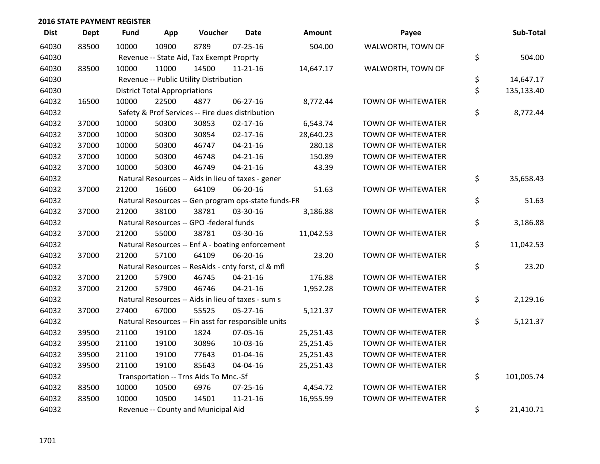| <b>Dist</b> | <b>Dept</b> | Fund  | App                                  | Voucher                                             | <b>Date</b>    | <b>Amount</b> | Payee                     | Sub-Total        |
|-------------|-------------|-------|--------------------------------------|-----------------------------------------------------|----------------|---------------|---------------------------|------------------|
| 64030       | 83500       | 10000 | 10900                                | 8789                                                | $07 - 25 - 16$ | 504.00        | WALWORTH, TOWN OF         |                  |
| 64030       |             |       |                                      | Revenue -- State Aid, Tax Exempt Proprty            |                |               |                           | \$<br>504.00     |
| 64030       | 83500       | 10000 | 11000                                | 14500                                               | $11 - 21 - 16$ | 14,647.17     | WALWORTH, TOWN OF         |                  |
| 64030       |             |       |                                      | Revenue -- Public Utility Distribution              |                |               |                           | \$<br>14,647.17  |
| 64030       |             |       | <b>District Total Appropriations</b> |                                                     |                |               |                           | \$<br>135,133.40 |
| 64032       | 16500       | 10000 | 22500                                | 4877                                                | 06-27-16       | 8,772.44      | <b>TOWN OF WHITEWATER</b> |                  |
| 64032       |             |       |                                      | Safety & Prof Services -- Fire dues distribution    |                |               |                           | \$<br>8,772.44   |
| 64032       | 37000       | 10000 | 50300                                | 30853                                               | $02 - 17 - 16$ | 6,543.74      | TOWN OF WHITEWATER        |                  |
| 64032       | 37000       | 10000 | 50300                                | 30854                                               | $02 - 17 - 16$ | 28,640.23     | <b>TOWN OF WHITEWATER</b> |                  |
| 64032       | 37000       | 10000 | 50300                                | 46747                                               | $04 - 21 - 16$ | 280.18        | <b>TOWN OF WHITEWATER</b> |                  |
| 64032       | 37000       | 10000 | 50300                                | 46748                                               | $04 - 21 - 16$ | 150.89        | <b>TOWN OF WHITEWATER</b> |                  |
| 64032       | 37000       | 10000 | 50300                                | 46749                                               | $04 - 21 - 16$ | 43.39         | <b>TOWN OF WHITEWATER</b> |                  |
| 64032       |             |       |                                      | Natural Resources -- Aids in lieu of taxes - gener  |                |               |                           | \$<br>35,658.43  |
| 64032       | 37000       | 21200 | 16600                                | 64109                                               | 06-20-16       | 51.63         | <b>TOWN OF WHITEWATER</b> |                  |
| 64032       |             |       |                                      | Natural Resources -- Gen program ops-state funds-FR |                |               |                           | \$<br>51.63      |
| 64032       | 37000       | 21200 | 38100                                | 38781                                               | 03-30-16       | 3,186.88      | <b>TOWN OF WHITEWATER</b> |                  |
| 64032       |             |       |                                      | Natural Resources -- GPO -federal funds             |                |               |                           | \$<br>3,186.88   |
| 64032       | 37000       | 21200 | 55000                                | 38781                                               | 03-30-16       | 11,042.53     | <b>TOWN OF WHITEWATER</b> |                  |
| 64032       |             |       |                                      | Natural Resources -- Enf A - boating enforcement    |                |               |                           | \$<br>11,042.53  |
| 64032       | 37000       | 21200 | 57100                                | 64109                                               | 06-20-16       | 23.20         | <b>TOWN OF WHITEWATER</b> |                  |
| 64032       |             |       |                                      | Natural Resources -- ResAids - cnty forst, cl & mfl |                |               |                           | \$<br>23.20      |
| 64032       | 37000       | 21200 | 57900                                | 46745                                               | $04 - 21 - 16$ | 176.88        | TOWN OF WHITEWATER        |                  |
| 64032       | 37000       | 21200 | 57900                                | 46746                                               | $04 - 21 - 16$ | 1,952.28      | <b>TOWN OF WHITEWATER</b> |                  |
| 64032       |             |       |                                      | Natural Resources -- Aids in lieu of taxes - sum s  |                |               |                           | \$<br>2,129.16   |
| 64032       | 37000       | 27400 | 67000                                | 55525                                               | $05 - 27 - 16$ | 5,121.37      | TOWN OF WHITEWATER        |                  |
| 64032       |             |       |                                      | Natural Resources -- Fin asst for responsible units |                |               |                           | \$<br>5,121.37   |
| 64032       | 39500       | 21100 | 19100                                | 1824                                                | 07-05-16       | 25,251.43     | <b>TOWN OF WHITEWATER</b> |                  |
| 64032       | 39500       | 21100 | 19100                                | 30896                                               | 10-03-16       | 25,251.45     | <b>TOWN OF WHITEWATER</b> |                  |
| 64032       | 39500       | 21100 | 19100                                | 77643                                               | $01 - 04 - 16$ | 25,251.43     | <b>TOWN OF WHITEWATER</b> |                  |
| 64032       | 39500       | 21100 | 19100                                | 85643                                               | 04-04-16       | 25,251.43     | <b>TOWN OF WHITEWATER</b> |                  |
| 64032       |             |       |                                      | Transportation -- Trns Aids To Mnc.-Sf              |                |               |                           | \$<br>101,005.74 |
| 64032       | 83500       | 10000 | 10500                                | 6976                                                | 07-25-16       | 4,454.72      | TOWN OF WHITEWATER        |                  |
| 64032       | 83500       | 10000 | 10500                                | 14501                                               | $11 - 21 - 16$ | 16,955.99     | <b>TOWN OF WHITEWATER</b> |                  |
| 64032       |             |       |                                      | Revenue -- County and Municipal Aid                 |                |               |                           | \$<br>21,410.71  |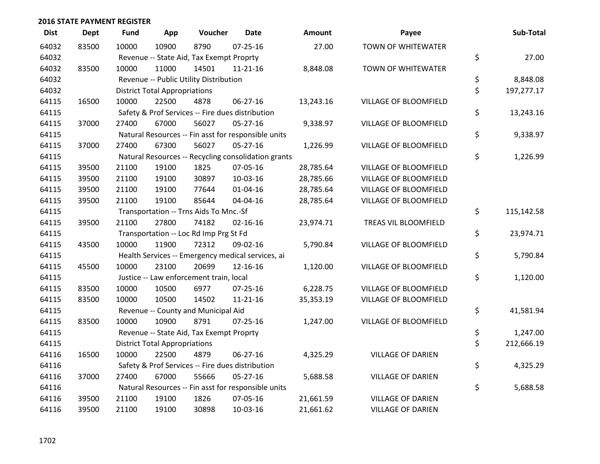| <b>Dist</b> | Dept  | <b>Fund</b> | App                                  | Voucher                                  | <b>Date</b>                                         | <b>Amount</b> | Payee                        | Sub-Total        |
|-------------|-------|-------------|--------------------------------------|------------------------------------------|-----------------------------------------------------|---------------|------------------------------|------------------|
| 64032       | 83500 | 10000       | 10900                                | 8790                                     | $07 - 25 - 16$                                      | 27.00         | <b>TOWN OF WHITEWATER</b>    |                  |
| 64032       |       |             |                                      | Revenue -- State Aid, Tax Exempt Proprty |                                                     |               |                              | \$<br>27.00      |
| 64032       | 83500 | 10000       | 11000                                | 14501                                    | $11 - 21 - 16$                                      | 8,848.08      | <b>TOWN OF WHITEWATER</b>    |                  |
| 64032       |       |             |                                      | Revenue -- Public Utility Distribution   |                                                     |               |                              | \$<br>8,848.08   |
| 64032       |       |             | <b>District Total Appropriations</b> |                                          |                                                     |               |                              | \$<br>197,277.17 |
| 64115       | 16500 | 10000       | 22500                                | 4878                                     | $06 - 27 - 16$                                      | 13,243.16     | VILLAGE OF BLOOMFIELD        |                  |
| 64115       |       |             |                                      |                                          | Safety & Prof Services -- Fire dues distribution    |               |                              | \$<br>13,243.16  |
| 64115       | 37000 | 27400       | 67000                                | 56027                                    | $05 - 27 - 16$                                      | 9,338.97      | VILLAGE OF BLOOMFIELD        |                  |
| 64115       |       |             |                                      |                                          | Natural Resources -- Fin asst for responsible units |               |                              | \$<br>9,338.97   |
| 64115       | 37000 | 27400       | 67300                                | 56027                                    | 05-27-16                                            | 1,226.99      | VILLAGE OF BLOOMFIELD        |                  |
| 64115       |       |             |                                      |                                          | Natural Resources -- Recycling consolidation grants |               |                              | \$<br>1,226.99   |
| 64115       | 39500 | 21100       | 19100                                | 1825                                     | 07-05-16                                            | 28,785.64     | VILLAGE OF BLOOMFIELD        |                  |
| 64115       | 39500 | 21100       | 19100                                | 30897                                    | 10-03-16                                            | 28,785.66     | VILLAGE OF BLOOMFIELD        |                  |
| 64115       | 39500 | 21100       | 19100                                | 77644                                    | $01 - 04 - 16$                                      | 28,785.64     | <b>VILLAGE OF BLOOMFIELD</b> |                  |
| 64115       | 39500 | 21100       | 19100                                | 85644                                    | 04-04-16                                            | 28,785.64     | <b>VILLAGE OF BLOOMFIELD</b> |                  |
| 64115       |       |             |                                      | Transportation -- Trns Aids To Mnc.-Sf   |                                                     |               |                              | \$<br>115,142.58 |
| 64115       | 39500 | 21100       | 27800                                | 74182                                    | $02 - 16 - 16$                                      | 23,974.71     | TREAS VIL BLOOMFIELD         |                  |
| 64115       |       |             |                                      | Transportation -- Loc Rd Imp Prg St Fd   |                                                     |               |                              | \$<br>23,974.71  |
| 64115       | 43500 | 10000       | 11900                                | 72312                                    | 09-02-16                                            | 5,790.84      | VILLAGE OF BLOOMFIELD        |                  |
| 64115       |       |             |                                      |                                          | Health Services -- Emergency medical services, ai   |               |                              | \$<br>5,790.84   |
| 64115       | 45500 | 10000       | 23100                                | 20699                                    | 12-16-16                                            | 1,120.00      | VILLAGE OF BLOOMFIELD        |                  |
| 64115       |       |             |                                      | Justice -- Law enforcement train, local  |                                                     |               |                              | \$<br>1,120.00   |
| 64115       | 83500 | 10000       | 10500                                | 6977                                     | 07-25-16                                            | 6,228.75      | VILLAGE OF BLOOMFIELD        |                  |
| 64115       | 83500 | 10000       | 10500                                | 14502                                    | $11 - 21 - 16$                                      | 35,353.19     | VILLAGE OF BLOOMFIELD        |                  |
| 64115       |       |             |                                      | Revenue -- County and Municipal Aid      |                                                     |               |                              | \$<br>41,581.94  |
| 64115       | 83500 | 10000       | 10900                                | 8791                                     | $07 - 25 - 16$                                      | 1,247.00      | VILLAGE OF BLOOMFIELD        |                  |
| 64115       |       |             |                                      | Revenue -- State Aid, Tax Exempt Proprty |                                                     |               |                              | \$<br>1,247.00   |
| 64115       |       |             | <b>District Total Appropriations</b> |                                          |                                                     |               |                              | \$<br>212,666.19 |
| 64116       | 16500 | 10000       | 22500                                | 4879                                     | 06-27-16                                            | 4,325.29      | <b>VILLAGE OF DARIEN</b>     |                  |
| 64116       |       |             |                                      |                                          | Safety & Prof Services -- Fire dues distribution    |               |                              | \$<br>4,325.29   |
| 64116       | 37000 | 27400       | 67000                                | 55666                                    | $05 - 27 - 16$                                      | 5,688.58      | <b>VILLAGE OF DARIEN</b>     |                  |
| 64116       |       |             |                                      |                                          | Natural Resources -- Fin asst for responsible units |               |                              | \$<br>5,688.58   |
| 64116       | 39500 | 21100       | 19100                                | 1826                                     | 07-05-16                                            | 21,661.59     | <b>VILLAGE OF DARIEN</b>     |                  |
| 64116       | 39500 | 21100       | 19100                                | 30898                                    | $10-03-16$                                          | 21,661.62     | <b>VILLAGE OF DARIEN</b>     |                  |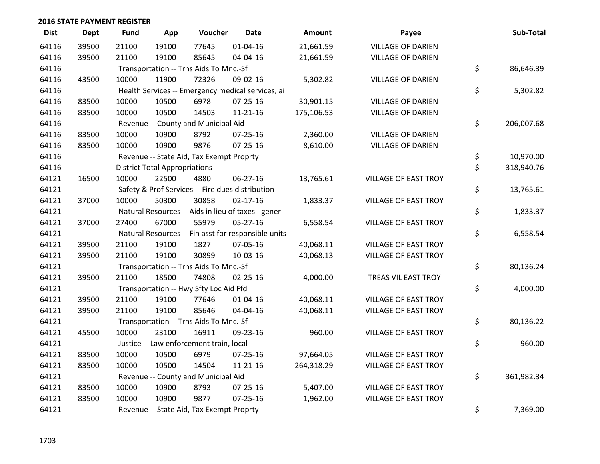| <b>Dist</b> | Dept  | Fund  | App                                  | Voucher                                  | <b>Date</b>                                         | Amount     | Payee                       | Sub-Total        |
|-------------|-------|-------|--------------------------------------|------------------------------------------|-----------------------------------------------------|------------|-----------------------------|------------------|
| 64116       | 39500 | 21100 | 19100                                | 77645                                    | $01 - 04 - 16$                                      | 21,661.59  | <b>VILLAGE OF DARIEN</b>    |                  |
| 64116       | 39500 | 21100 | 19100                                | 85645                                    | 04-04-16                                            | 21,661.59  | <b>VILLAGE OF DARIEN</b>    |                  |
| 64116       |       |       |                                      | Transportation -- Trns Aids To Mnc.-Sf   |                                                     |            |                             | \$<br>86,646.39  |
| 64116       | 43500 | 10000 | 11900                                | 72326                                    | 09-02-16                                            | 5,302.82   | <b>VILLAGE OF DARIEN</b>    |                  |
| 64116       |       |       |                                      |                                          | Health Services -- Emergency medical services, ai   |            |                             | \$<br>5,302.82   |
| 64116       | 83500 | 10000 | 10500                                | 6978                                     | $07 - 25 - 16$                                      | 30,901.15  | <b>VILLAGE OF DARIEN</b>    |                  |
| 64116       | 83500 | 10000 | 10500                                | 14503                                    | $11 - 21 - 16$                                      | 175,106.53 | <b>VILLAGE OF DARIEN</b>    |                  |
| 64116       |       |       |                                      | Revenue -- County and Municipal Aid      |                                                     |            |                             | \$<br>206,007.68 |
| 64116       | 83500 | 10000 | 10900                                | 8792                                     | 07-25-16                                            | 2,360.00   | <b>VILLAGE OF DARIEN</b>    |                  |
| 64116       | 83500 | 10000 | 10900                                | 9876                                     | 07-25-16                                            | 8,610.00   | <b>VILLAGE OF DARIEN</b>    |                  |
| 64116       |       |       |                                      | Revenue -- State Aid, Tax Exempt Proprty |                                                     |            |                             | \$<br>10,970.00  |
| 64116       |       |       | <b>District Total Appropriations</b> |                                          |                                                     |            |                             | \$<br>318,940.76 |
| 64121       | 16500 | 10000 | 22500                                | 4880                                     | 06-27-16                                            | 13,765.61  | <b>VILLAGE OF EAST TROY</b> |                  |
| 64121       |       |       |                                      |                                          | Safety & Prof Services -- Fire dues distribution    |            |                             | \$<br>13,765.61  |
| 64121       | 37000 | 10000 | 50300                                | 30858                                    | $02 - 17 - 16$                                      | 1,833.37   | <b>VILLAGE OF EAST TROY</b> |                  |
| 64121       |       |       |                                      |                                          | Natural Resources -- Aids in lieu of taxes - gener  |            |                             | \$<br>1,833.37   |
| 64121       | 37000 | 27400 | 67000                                | 55979                                    | $05 - 27 - 16$                                      | 6,558.54   | <b>VILLAGE OF EAST TROY</b> |                  |
| 64121       |       |       |                                      |                                          | Natural Resources -- Fin asst for responsible units |            |                             | \$<br>6,558.54   |
| 64121       | 39500 | 21100 | 19100                                | 1827                                     | 07-05-16                                            | 40,068.11  | <b>VILLAGE OF EAST TROY</b> |                  |
| 64121       | 39500 | 21100 | 19100                                | 30899                                    | 10-03-16                                            | 40,068.13  | <b>VILLAGE OF EAST TROY</b> |                  |
| 64121       |       |       |                                      | Transportation -- Trns Aids To Mnc.-Sf   |                                                     |            |                             | \$<br>80,136.24  |
| 64121       | 39500 | 21100 | 18500                                | 74808                                    | 02-25-16                                            | 4,000.00   | TREAS VIL EAST TROY         |                  |
| 64121       |       |       |                                      | Transportation -- Hwy Sfty Loc Aid Ffd   |                                                     |            |                             | \$<br>4,000.00   |
| 64121       | 39500 | 21100 | 19100                                | 77646                                    | $01 - 04 - 16$                                      | 40,068.11  | <b>VILLAGE OF EAST TROY</b> |                  |
| 64121       | 39500 | 21100 | 19100                                | 85646                                    | 04-04-16                                            | 40,068.11  | <b>VILLAGE OF EAST TROY</b> |                  |
| 64121       |       |       |                                      | Transportation -- Trns Aids To Mnc.-Sf   |                                                     |            |                             | \$<br>80,136.22  |
| 64121       | 45500 | 10000 | 23100                                | 16911                                    | 09-23-16                                            | 960.00     | <b>VILLAGE OF EAST TROY</b> |                  |
| 64121       |       |       |                                      | Justice -- Law enforcement train, local  |                                                     |            |                             | \$<br>960.00     |
| 64121       | 83500 | 10000 | 10500                                | 6979                                     | $07 - 25 - 16$                                      | 97,664.05  | <b>VILLAGE OF EAST TROY</b> |                  |
| 64121       | 83500 | 10000 | 10500                                | 14504                                    | $11 - 21 - 16$                                      | 264,318.29 | <b>VILLAGE OF EAST TROY</b> |                  |
| 64121       |       |       |                                      | Revenue -- County and Municipal Aid      |                                                     |            |                             | \$<br>361,982.34 |
| 64121       | 83500 | 10000 | 10900                                | 8793                                     | 07-25-16                                            | 5,407.00   | <b>VILLAGE OF EAST TROY</b> |                  |
| 64121       | 83500 | 10000 | 10900                                | 9877                                     | $07 - 25 - 16$                                      | 1,962.00   | <b>VILLAGE OF EAST TROY</b> |                  |
| 64121       |       |       |                                      | Revenue -- State Aid, Tax Exempt Proprty |                                                     |            |                             | \$<br>7,369.00   |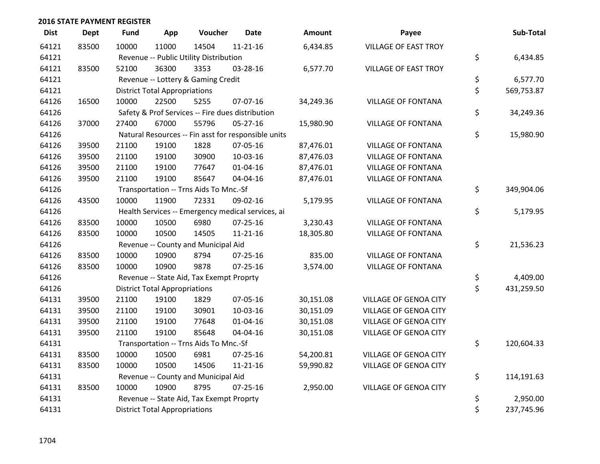| <b>Dist</b> | <b>Dept</b> | Fund  | App                                  | Voucher                                  | <b>Date</b>                                         | <b>Amount</b> | Payee                        | Sub-Total        |
|-------------|-------------|-------|--------------------------------------|------------------------------------------|-----------------------------------------------------|---------------|------------------------------|------------------|
| 64121       | 83500       | 10000 | 11000                                | 14504                                    | $11 - 21 - 16$                                      | 6,434.85      | <b>VILLAGE OF EAST TROY</b>  |                  |
| 64121       |             |       |                                      | Revenue -- Public Utility Distribution   |                                                     |               |                              | \$<br>6,434.85   |
| 64121       | 83500       | 52100 | 36300                                | 3353                                     | 03-28-16                                            | 6,577.70      | <b>VILLAGE OF EAST TROY</b>  |                  |
| 64121       |             |       |                                      | Revenue -- Lottery & Gaming Credit       |                                                     |               |                              | \$<br>6,577.70   |
| 64121       |             |       | <b>District Total Appropriations</b> |                                          |                                                     |               |                              | \$<br>569,753.87 |
| 64126       | 16500       | 10000 | 22500                                | 5255                                     | 07-07-16                                            | 34,249.36     | <b>VILLAGE OF FONTANA</b>    |                  |
| 64126       |             |       |                                      |                                          | Safety & Prof Services -- Fire dues distribution    |               |                              | \$<br>34,249.36  |
| 64126       | 37000       | 27400 | 67000                                | 55796                                    | 05-27-16                                            | 15,980.90     | <b>VILLAGE OF FONTANA</b>    |                  |
| 64126       |             |       |                                      |                                          | Natural Resources -- Fin asst for responsible units |               |                              | \$<br>15,980.90  |
| 64126       | 39500       | 21100 | 19100                                | 1828                                     | 07-05-16                                            | 87,476.01     | <b>VILLAGE OF FONTANA</b>    |                  |
| 64126       | 39500       | 21100 | 19100                                | 30900                                    | 10-03-16                                            | 87,476.03     | <b>VILLAGE OF FONTANA</b>    |                  |
| 64126       | 39500       | 21100 | 19100                                | 77647                                    | $01 - 04 - 16$                                      | 87,476.01     | <b>VILLAGE OF FONTANA</b>    |                  |
| 64126       | 39500       | 21100 | 19100                                | 85647                                    | 04-04-16                                            | 87,476.01     | <b>VILLAGE OF FONTANA</b>    |                  |
| 64126       |             |       |                                      | Transportation -- Trns Aids To Mnc.-Sf   |                                                     |               |                              | \$<br>349,904.06 |
| 64126       | 43500       | 10000 | 11900                                | 72331                                    | 09-02-16                                            | 5,179.95      | <b>VILLAGE OF FONTANA</b>    |                  |
| 64126       |             |       |                                      |                                          | Health Services -- Emergency medical services, ai   |               |                              | \$<br>5,179.95   |
| 64126       | 83500       | 10000 | 10500                                | 6980                                     | $07 - 25 - 16$                                      | 3,230.43      | <b>VILLAGE OF FONTANA</b>    |                  |
| 64126       | 83500       | 10000 | 10500                                | 14505                                    | $11 - 21 - 16$                                      | 18,305.80     | <b>VILLAGE OF FONTANA</b>    |                  |
| 64126       |             |       |                                      | Revenue -- County and Municipal Aid      |                                                     |               |                              | \$<br>21,536.23  |
| 64126       | 83500       | 10000 | 10900                                | 8794                                     | 07-25-16                                            | 835.00        | <b>VILLAGE OF FONTANA</b>    |                  |
| 64126       | 83500       | 10000 | 10900                                | 9878                                     | 07-25-16                                            | 3,574.00      | <b>VILLAGE OF FONTANA</b>    |                  |
| 64126       |             |       |                                      | Revenue -- State Aid, Tax Exempt Proprty |                                                     |               |                              | \$<br>4,409.00   |
| 64126       |             |       | <b>District Total Appropriations</b> |                                          |                                                     |               |                              | \$<br>431,259.50 |
| 64131       | 39500       | 21100 | 19100                                | 1829                                     | 07-05-16                                            | 30,151.08     | <b>VILLAGE OF GENOA CITY</b> |                  |
| 64131       | 39500       | 21100 | 19100                                | 30901                                    | $10-03-16$                                          | 30,151.09     | <b>VILLAGE OF GENOA CITY</b> |                  |
| 64131       | 39500       | 21100 | 19100                                | 77648                                    | $01 - 04 - 16$                                      | 30,151.08     | <b>VILLAGE OF GENOA CITY</b> |                  |
| 64131       | 39500       | 21100 | 19100                                | 85648                                    | 04-04-16                                            | 30,151.08     | VILLAGE OF GENOA CITY        |                  |
| 64131       |             |       |                                      | Transportation -- Trns Aids To Mnc.-Sf   |                                                     |               |                              | \$<br>120,604.33 |
| 64131       | 83500       | 10000 | 10500                                | 6981                                     | 07-25-16                                            | 54,200.81     | VILLAGE OF GENOA CITY        |                  |
| 64131       | 83500       | 10000 | 10500                                | 14506                                    | $11 - 21 - 16$                                      | 59,990.82     | VILLAGE OF GENOA CITY        |                  |
| 64131       |             |       |                                      | Revenue -- County and Municipal Aid      |                                                     |               |                              | \$<br>114,191.63 |
| 64131       | 83500       | 10000 | 10900                                | 8795                                     | $07 - 25 - 16$                                      | 2,950.00      | <b>VILLAGE OF GENOA CITY</b> |                  |
| 64131       |             |       |                                      | Revenue -- State Aid, Tax Exempt Proprty |                                                     |               |                              | \$<br>2,950.00   |
| 64131       |             |       | <b>District Total Appropriations</b> |                                          |                                                     |               |                              | \$<br>237,745.96 |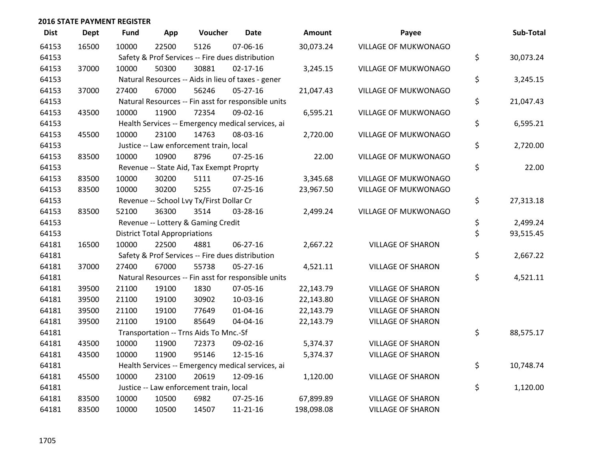| <b>Dist</b> | <b>Dept</b> | <b>Fund</b> | App                                  | Voucher                                             | <b>Date</b>    | <b>Amount</b> | Payee                    | Sub-Total       |
|-------------|-------------|-------------|--------------------------------------|-----------------------------------------------------|----------------|---------------|--------------------------|-----------------|
| 64153       | 16500       | 10000       | 22500                                | 5126                                                | 07-06-16       | 30,073.24     | VILLAGE OF MUKWONAGO     |                 |
| 64153       |             |             |                                      | Safety & Prof Services -- Fire dues distribution    |                |               |                          | \$<br>30,073.24 |
| 64153       | 37000       | 10000       | 50300                                | 30881                                               | $02 - 17 - 16$ | 3,245.15      | VILLAGE OF MUKWONAGO     |                 |
| 64153       |             |             |                                      | Natural Resources -- Aids in lieu of taxes - gener  |                |               |                          | \$<br>3,245.15  |
| 64153       | 37000       | 27400       | 67000                                | 56246                                               | $05 - 27 - 16$ | 21,047.43     | VILLAGE OF MUKWONAGO     |                 |
| 64153       |             |             |                                      | Natural Resources -- Fin asst for responsible units |                |               |                          | \$<br>21,047.43 |
| 64153       | 43500       | 10000       | 11900                                | 72354                                               | 09-02-16       | 6,595.21      | VILLAGE OF MUKWONAGO     |                 |
| 64153       |             |             |                                      | Health Services -- Emergency medical services, ai   |                |               |                          | \$<br>6,595.21  |
| 64153       | 45500       | 10000       | 23100                                | 14763                                               | 08-03-16       | 2,720.00      | VILLAGE OF MUKWONAGO     |                 |
| 64153       |             |             |                                      | Justice -- Law enforcement train, local             |                |               |                          | \$<br>2,720.00  |
| 64153       | 83500       | 10000       | 10900                                | 8796                                                | 07-25-16       | 22.00         | VILLAGE OF MUKWONAGO     |                 |
| 64153       |             |             |                                      | Revenue -- State Aid, Tax Exempt Proprty            |                |               |                          | \$<br>22.00     |
| 64153       | 83500       | 10000       | 30200                                | 5111                                                | $07 - 25 - 16$ | 3,345.68      | VILLAGE OF MUKWONAGO     |                 |
| 64153       | 83500       | 10000       | 30200                                | 5255                                                | 07-25-16       | 23,967.50     | VILLAGE OF MUKWONAGO     |                 |
| 64153       |             |             |                                      | Revenue -- School Lvy Tx/First Dollar Cr            |                |               |                          | \$<br>27,313.18 |
| 64153       | 83500       | 52100       | 36300                                | 3514                                                | 03-28-16       | 2,499.24      | VILLAGE OF MUKWONAGO     |                 |
| 64153       |             |             |                                      | Revenue -- Lottery & Gaming Credit                  |                |               |                          | \$<br>2,499.24  |
| 64153       |             |             | <b>District Total Appropriations</b> |                                                     |                |               |                          | \$<br>93,515.45 |
| 64181       | 16500       | 10000       | 22500                                | 4881                                                | 06-27-16       | 2,667.22      | <b>VILLAGE OF SHARON</b> |                 |
| 64181       |             |             |                                      | Safety & Prof Services -- Fire dues distribution    |                |               |                          | \$<br>2,667.22  |
| 64181       | 37000       | 27400       | 67000                                | 55738                                               | $05 - 27 - 16$ | 4,521.11      | <b>VILLAGE OF SHARON</b> |                 |
| 64181       |             |             |                                      | Natural Resources -- Fin asst for responsible units |                |               |                          | \$<br>4,521.11  |
| 64181       | 39500       | 21100       | 19100                                | 1830                                                | 07-05-16       | 22,143.79     | <b>VILLAGE OF SHARON</b> |                 |
| 64181       | 39500       | 21100       | 19100                                | 30902                                               | 10-03-16       | 22,143.80     | <b>VILLAGE OF SHARON</b> |                 |
| 64181       | 39500       | 21100       | 19100                                | 77649                                               | $01 - 04 - 16$ | 22,143.79     | <b>VILLAGE OF SHARON</b> |                 |
| 64181       | 39500       | 21100       | 19100                                | 85649                                               | 04-04-16       | 22,143.79     | <b>VILLAGE OF SHARON</b> |                 |
| 64181       |             |             |                                      | Transportation -- Trns Aids To Mnc.-Sf              |                |               |                          | \$<br>88,575.17 |
| 64181       | 43500       | 10000       | 11900                                | 72373                                               | 09-02-16       | 5,374.37      | <b>VILLAGE OF SHARON</b> |                 |
| 64181       | 43500       | 10000       | 11900                                | 95146                                               | 12-15-16       | 5,374.37      | <b>VILLAGE OF SHARON</b> |                 |
| 64181       |             |             |                                      | Health Services -- Emergency medical services, ai   |                |               |                          | \$<br>10,748.74 |
| 64181       | 45500       | 10000       | 23100                                | 20619                                               | 12-09-16       | 1,120.00      | <b>VILLAGE OF SHARON</b> |                 |
| 64181       |             |             |                                      | Justice -- Law enforcement train, local             |                |               |                          | \$<br>1,120.00  |
| 64181       | 83500       | 10000       | 10500                                | 6982                                                | 07-25-16       | 67,899.89     | <b>VILLAGE OF SHARON</b> |                 |
| 64181       | 83500       | 10000       | 10500                                | 14507                                               | 11-21-16       | 198,098.08    | <b>VILLAGE OF SHARON</b> |                 |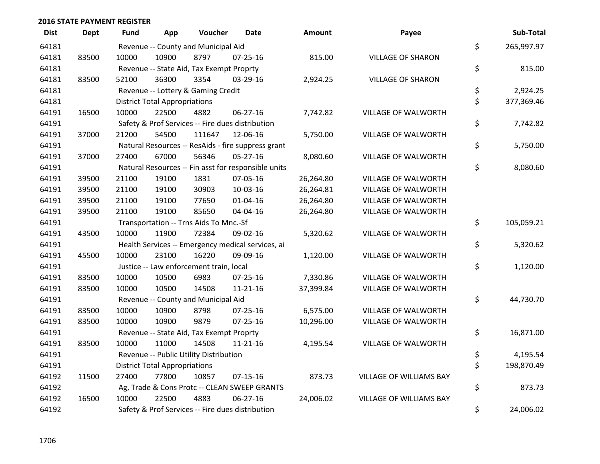| <b>Dist</b> | <b>Dept</b> | <b>Fund</b> | App                                  | Voucher                                          | <b>Date</b>                                         | Amount    | Payee                          | Sub-Total        |
|-------------|-------------|-------------|--------------------------------------|--------------------------------------------------|-----------------------------------------------------|-----------|--------------------------------|------------------|
| 64181       |             |             |                                      | Revenue -- County and Municipal Aid              |                                                     |           |                                | \$<br>265,997.97 |
| 64181       | 83500       | 10000       | 10900                                | 8797                                             | $07 - 25 - 16$                                      | 815.00    | <b>VILLAGE OF SHARON</b>       |                  |
| 64181       |             |             |                                      | Revenue -- State Aid, Tax Exempt Proprty         |                                                     |           |                                | \$<br>815.00     |
| 64181       | 83500       | 52100       | 36300                                | 3354                                             | 03-29-16                                            | 2,924.25  | <b>VILLAGE OF SHARON</b>       |                  |
| 64181       |             |             |                                      | Revenue -- Lottery & Gaming Credit               |                                                     |           |                                | \$<br>2,924.25   |
| 64181       |             |             | <b>District Total Appropriations</b> |                                                  |                                                     |           |                                | \$<br>377,369.46 |
| 64191       | 16500       | 10000       | 22500                                | 4882                                             | 06-27-16                                            | 7,742.82  | <b>VILLAGE OF WALWORTH</b>     |                  |
| 64191       |             |             |                                      |                                                  | Safety & Prof Services -- Fire dues distribution    |           |                                | \$<br>7,742.82   |
| 64191       | 37000       | 21200       | 54500                                | 111647                                           | 12-06-16                                            | 5,750.00  | <b>VILLAGE OF WALWORTH</b>     |                  |
| 64191       |             |             |                                      |                                                  | Natural Resources -- ResAids - fire suppress grant  |           |                                | \$<br>5,750.00   |
| 64191       | 37000       | 27400       | 67000                                | 56346                                            | 05-27-16                                            | 8,080.60  | VILLAGE OF WALWORTH            |                  |
| 64191       |             |             |                                      |                                                  | Natural Resources -- Fin asst for responsible units |           |                                | \$<br>8,080.60   |
| 64191       | 39500       | 21100       | 19100                                | 1831                                             | 07-05-16                                            | 26,264.80 | <b>VILLAGE OF WALWORTH</b>     |                  |
| 64191       | 39500       | 21100       | 19100                                | 30903                                            | 10-03-16                                            | 26,264.81 | VILLAGE OF WALWORTH            |                  |
| 64191       | 39500       | 21100       | 19100                                | 77650                                            | $01 - 04 - 16$                                      | 26,264.80 | VILLAGE OF WALWORTH            |                  |
| 64191       | 39500       | 21100       | 19100                                | 85650                                            | 04-04-16                                            | 26,264.80 | <b>VILLAGE OF WALWORTH</b>     |                  |
| 64191       |             |             |                                      | Transportation -- Trns Aids To Mnc.-Sf           |                                                     |           |                                | \$<br>105,059.21 |
| 64191       | 43500       | 10000       | 11900                                | 72384                                            | 09-02-16                                            | 5,320.62  | VILLAGE OF WALWORTH            |                  |
| 64191       |             |             |                                      |                                                  | Health Services -- Emergency medical services, ai   |           |                                | \$<br>5,320.62   |
| 64191       | 45500       | 10000       | 23100                                | 16220                                            | 09-09-16                                            | 1,120.00  | <b>VILLAGE OF WALWORTH</b>     |                  |
| 64191       |             |             |                                      | Justice -- Law enforcement train, local          |                                                     |           |                                | \$<br>1,120.00   |
| 64191       | 83500       | 10000       | 10500                                | 6983                                             | 07-25-16                                            | 7,330.86  | VILLAGE OF WALWORTH            |                  |
| 64191       | 83500       | 10000       | 10500                                | 14508                                            | 11-21-16                                            | 37,399.84 | VILLAGE OF WALWORTH            |                  |
| 64191       |             |             |                                      | Revenue -- County and Municipal Aid              |                                                     |           |                                | \$<br>44,730.70  |
| 64191       | 83500       | 10000       | 10900                                | 8798                                             | 07-25-16                                            | 6,575.00  | VILLAGE OF WALWORTH            |                  |
| 64191       | 83500       | 10000       | 10900                                | 9879                                             | $07 - 25 - 16$                                      | 10,296.00 | VILLAGE OF WALWORTH            |                  |
| 64191       |             |             |                                      | Revenue -- State Aid, Tax Exempt Proprty         |                                                     |           |                                | \$<br>16,871.00  |
| 64191       | 83500       | 10000       | 11000                                | 14508                                            | 11-21-16                                            | 4,195.54  | VILLAGE OF WALWORTH            |                  |
| 64191       |             |             |                                      | Revenue -- Public Utility Distribution           |                                                     |           |                                | \$<br>4,195.54   |
| 64191       |             |             | <b>District Total Appropriations</b> |                                                  |                                                     |           |                                | \$<br>198,870.49 |
| 64192       | 11500       | 27400       | 77800                                | 10857                                            | $07-15-16$                                          | 873.73    | VILLAGE OF WILLIAMS BAY        |                  |
| 64192       |             |             |                                      |                                                  | Ag, Trade & Cons Protc -- CLEAN SWEEP GRANTS        |           |                                | \$<br>873.73     |
| 64192       | 16500       | 10000       | 22500                                | 4883                                             | 06-27-16                                            | 24,006.02 | <b>VILLAGE OF WILLIAMS BAY</b> |                  |
| 64192       |             |             |                                      | Safety & Prof Services -- Fire dues distribution |                                                     |           |                                | \$<br>24,006.02  |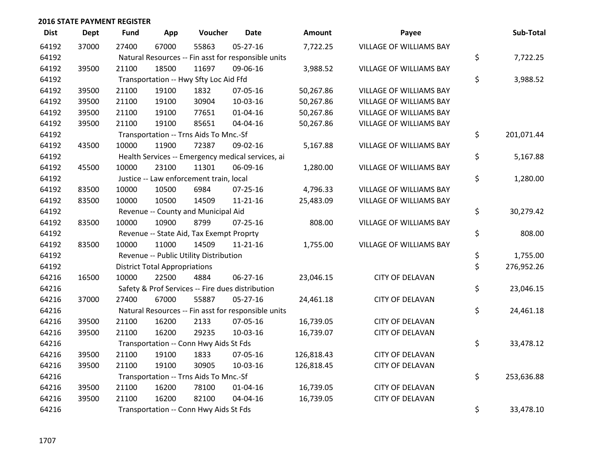| <b>Dist</b> | <b>Dept</b> | Fund            | App                                  | Voucher                                  | <b>Date</b>                                         | <b>Amount</b> | Payee                          | Sub-Total        |
|-------------|-------------|-----------------|--------------------------------------|------------------------------------------|-----------------------------------------------------|---------------|--------------------------------|------------------|
| 64192       | 37000       | 27400           | 67000                                | 55863                                    | $05 - 27 - 16$                                      | 7,722.25      | VILLAGE OF WILLIAMS BAY        |                  |
| 64192       |             |                 |                                      |                                          | Natural Resources -- Fin asst for responsible units |               |                                | \$<br>7,722.25   |
| 64192       | 39500       | 21100           | 18500                                | 11697                                    | 09-06-16                                            | 3,988.52      | VILLAGE OF WILLIAMS BAY        |                  |
| 64192       |             |                 |                                      | Transportation -- Hwy Sfty Loc Aid Ffd   |                                                     |               |                                | \$<br>3,988.52   |
| 64192       | 39500       | 21100           | 19100                                | 1832                                     | 07-05-16                                            | 50,267.86     | <b>VILLAGE OF WILLIAMS BAY</b> |                  |
| 64192       | 39500       | 21100           | 19100                                | 30904                                    | 10-03-16                                            | 50,267.86     | VILLAGE OF WILLIAMS BAY        |                  |
| 64192       | 39500       | 21100           | 19100                                | 77651                                    | $01 - 04 - 16$                                      | 50,267.86     | VILLAGE OF WILLIAMS BAY        |                  |
| 64192       | 39500       | 21100           | 19100                                | 85651                                    | 04-04-16                                            | 50,267.86     | VILLAGE OF WILLIAMS BAY        |                  |
| 64192       |             |                 |                                      | Transportation -- Trns Aids To Mnc.-Sf   |                                                     |               |                                | \$<br>201,071.44 |
| 64192       | 43500       | 10000           | 11900                                | 72387                                    | 09-02-16                                            | 5,167.88      | VILLAGE OF WILLIAMS BAY        |                  |
| 64192       |             |                 |                                      |                                          | Health Services -- Emergency medical services, ai   |               |                                | \$<br>5,167.88   |
| 64192       | 45500       | 10000           | 23100                                | 11301                                    | 06-09-16                                            | 1,280.00      | VILLAGE OF WILLIAMS BAY        |                  |
| 64192       |             |                 |                                      | Justice -- Law enforcement train, local  |                                                     |               |                                | \$<br>1,280.00   |
| 64192       | 83500       | 10000           | 10500                                | 6984                                     | 07-25-16                                            | 4,796.33      | VILLAGE OF WILLIAMS BAY        |                  |
| 64192       | 83500       | 10000           | 10500                                | 14509                                    | $11 - 21 - 16$                                      | 25,483.09     | VILLAGE OF WILLIAMS BAY        |                  |
| 64192       |             |                 |                                      | Revenue -- County and Municipal Aid      |                                                     |               |                                | \$<br>30,279.42  |
| 64192       | 83500       | 10000           | 10900                                | 8799                                     | $07 - 25 - 16$                                      | 808.00        | VILLAGE OF WILLIAMS BAY        |                  |
| 64192       |             |                 |                                      | Revenue -- State Aid, Tax Exempt Proprty |                                                     |               |                                | \$<br>808.00     |
| 64192       | 83500       | 10000           | 11000                                | 14509                                    | $11 - 21 - 16$                                      | 1,755.00      | VILLAGE OF WILLIAMS BAY        |                  |
| 64192       |             |                 |                                      | Revenue -- Public Utility Distribution   |                                                     |               |                                | \$<br>1,755.00   |
| 64192       |             |                 | <b>District Total Appropriations</b> |                                          |                                                     |               |                                | \$<br>276,952.26 |
| 64216       | 16500       | 10000           | 22500                                | 4884                                     | $06 - 27 - 16$                                      | 23,046.15     | <b>CITY OF DELAVAN</b>         |                  |
| 64216       |             |                 |                                      |                                          | Safety & Prof Services -- Fire dues distribution    |               |                                | \$<br>23,046.15  |
| 64216       | 37000       | 27400           | 67000                                | 55887                                    | $05 - 27 - 16$                                      | 24,461.18     | <b>CITY OF DELAVAN</b>         |                  |
| 64216       |             |                 |                                      |                                          | Natural Resources -- Fin asst for responsible units |               |                                | \$<br>24,461.18  |
| 64216       | 39500       | 21100           | 16200                                | 2133                                     | 07-05-16                                            | 16,739.05     | <b>CITY OF DELAVAN</b>         |                  |
| 64216       | 39500       | 21100           | 16200                                | 29235                                    | 10-03-16                                            | 16,739.07     | <b>CITY OF DELAVAN</b>         |                  |
| 64216       |             |                 |                                      | Transportation -- Conn Hwy Aids St Fds   |                                                     |               |                                | \$<br>33,478.12  |
| 64216       | 39500       | 21100           | 19100                                | 1833                                     | 07-05-16                                            | 126,818.43    | <b>CITY OF DELAVAN</b>         |                  |
| 64216       | 39500       | 21100           | 19100                                | 30905                                    | 10-03-16                                            | 126,818.45    | <b>CITY OF DELAVAN</b>         |                  |
| 64216       |             |                 |                                      | Transportation -- Trns Aids To Mnc.-Sf   |                                                     |               |                                | \$<br>253,636.88 |
| 64216       | 39500       | 21100           | 16200                                | 78100                                    | 01-04-16                                            | 16,739.05     | <b>CITY OF DELAVAN</b>         |                  |
| 64216       | 39500       | 21100           | 16200                                | 82100                                    | 04-04-16                                            | 16,739.05     | <b>CITY OF DELAVAN</b>         |                  |
| 64216       |             | \$<br>33,478.10 |                                      |                                          |                                                     |               |                                |                  |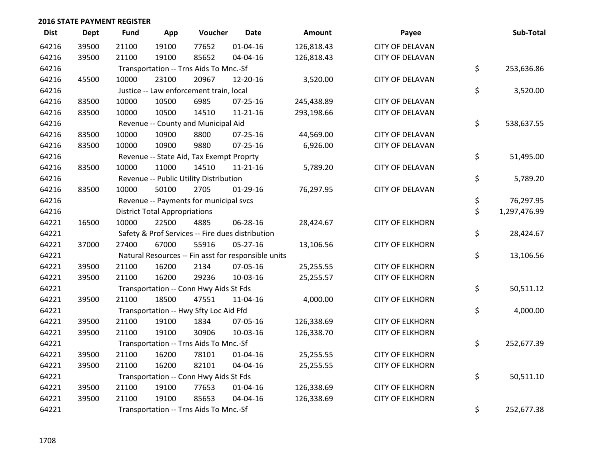| <b>Dist</b> | Dept  | Fund  | App                                  | Voucher                                             | <b>Date</b>    | <b>Amount</b> | Payee                  | Sub-Total          |
|-------------|-------|-------|--------------------------------------|-----------------------------------------------------|----------------|---------------|------------------------|--------------------|
| 64216       | 39500 | 21100 | 19100                                | 77652                                               | $01 - 04 - 16$ | 126,818.43    | <b>CITY OF DELAVAN</b> |                    |
| 64216       | 39500 | 21100 | 19100                                | 85652                                               | 04-04-16       | 126,818.43    | <b>CITY OF DELAVAN</b> |                    |
| 64216       |       |       |                                      | Transportation -- Trns Aids To Mnc.-Sf              |                |               |                        | \$<br>253,636.86   |
| 64216       | 45500 | 10000 | 23100                                | 20967                                               | 12-20-16       | 3,520.00      | <b>CITY OF DELAVAN</b> |                    |
| 64216       |       |       |                                      | Justice -- Law enforcement train, local             |                |               |                        | \$<br>3,520.00     |
| 64216       | 83500 | 10000 | 10500                                | 6985                                                | 07-25-16       | 245,438.89    | <b>CITY OF DELAVAN</b> |                    |
| 64216       | 83500 | 10000 | 10500                                | 14510                                               | $11 - 21 - 16$ | 293,198.66    | <b>CITY OF DELAVAN</b> |                    |
| 64216       |       |       |                                      | Revenue -- County and Municipal Aid                 |                |               |                        | \$<br>538,637.55   |
| 64216       | 83500 | 10000 | 10900                                | 8800                                                | $07 - 25 - 16$ | 44,569.00     | <b>CITY OF DELAVAN</b> |                    |
| 64216       | 83500 | 10000 | 10900                                | 9880                                                | $07 - 25 - 16$ | 6,926.00      | <b>CITY OF DELAVAN</b> |                    |
| 64216       |       |       |                                      | Revenue -- State Aid, Tax Exempt Proprty            |                |               |                        | \$<br>51,495.00    |
| 64216       | 83500 | 10000 | 11000                                | 14510                                               | $11 - 21 - 16$ | 5,789.20      | <b>CITY OF DELAVAN</b> |                    |
| 64216       |       |       |                                      | Revenue -- Public Utility Distribution              |                |               |                        | \$<br>5,789.20     |
| 64216       | 83500 | 10000 | 50100                                | 2705                                                | $01-29-16$     | 76,297.95     | <b>CITY OF DELAVAN</b> |                    |
| 64216       |       |       |                                      | Revenue -- Payments for municipal svcs              |                |               |                        | \$<br>76,297.95    |
| 64216       |       |       | <b>District Total Appropriations</b> |                                                     |                |               |                        | \$<br>1,297,476.99 |
| 64221       | 16500 | 10000 | 22500                                | 4885                                                | 06-28-16       | 28,424.67     | <b>CITY OF ELKHORN</b> |                    |
| 64221       |       |       |                                      | Safety & Prof Services -- Fire dues distribution    |                |               |                        | \$<br>28,424.67    |
| 64221       | 37000 | 27400 | 67000                                | 55916                                               | $05 - 27 - 16$ | 13,106.56     | <b>CITY OF ELKHORN</b> |                    |
| 64221       |       |       |                                      | Natural Resources -- Fin asst for responsible units |                |               |                        | \$<br>13,106.56    |
| 64221       | 39500 | 21100 | 16200                                | 2134                                                | 07-05-16       | 25,255.55     | <b>CITY OF ELKHORN</b> |                    |
| 64221       | 39500 | 21100 | 16200                                | 29236                                               | 10-03-16       | 25,255.57     | <b>CITY OF ELKHORN</b> |                    |
| 64221       |       |       |                                      | Transportation -- Conn Hwy Aids St Fds              |                |               |                        | \$<br>50,511.12    |
| 64221       | 39500 | 21100 | 18500                                | 47551                                               | 11-04-16       | 4,000.00      | <b>CITY OF ELKHORN</b> |                    |
| 64221       |       |       |                                      | Transportation -- Hwy Sfty Loc Aid Ffd              |                |               |                        | \$<br>4,000.00     |
| 64221       | 39500 | 21100 | 19100                                | 1834                                                | 07-05-16       | 126,338.69    | <b>CITY OF ELKHORN</b> |                    |
| 64221       | 39500 | 21100 | 19100                                | 30906                                               | 10-03-16       | 126,338.70    | <b>CITY OF ELKHORN</b> |                    |
| 64221       |       |       |                                      | Transportation -- Trns Aids To Mnc.-Sf              |                |               |                        | \$<br>252,677.39   |
| 64221       | 39500 | 21100 | 16200                                | 78101                                               | $01 - 04 - 16$ | 25,255.55     | <b>CITY OF ELKHORN</b> |                    |
| 64221       | 39500 | 21100 | 16200                                | 82101                                               | 04-04-16       | 25,255.55     | <b>CITY OF ELKHORN</b> |                    |
| 64221       |       |       |                                      | Transportation -- Conn Hwy Aids St Fds              |                |               |                        | \$<br>50,511.10    |
| 64221       | 39500 | 21100 | 19100                                | 77653                                               | $01 - 04 - 16$ | 126,338.69    | <b>CITY OF ELKHORN</b> |                    |
| 64221       | 39500 | 21100 | 19100                                | 85653                                               | 04-04-16       | 126,338.69    | <b>CITY OF ELKHORN</b> |                    |
| 64221       |       |       |                                      | Transportation -- Trns Aids To Mnc.-Sf              |                |               |                        | \$<br>252,677.38   |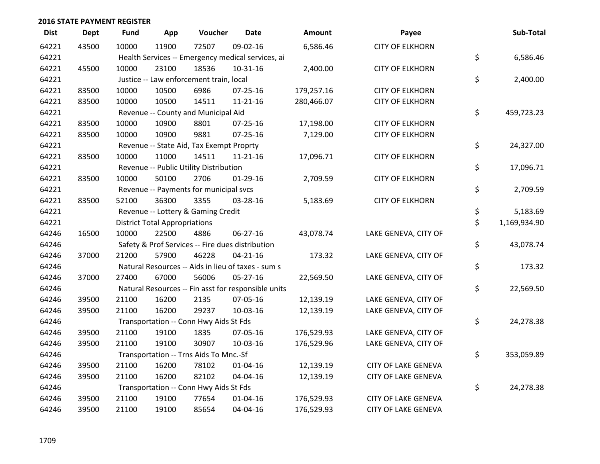| <b>Dist</b> | <b>Dept</b> | Fund  | App                                  | Voucher                                             | <b>Date</b>    | Amount     | Payee                      | Sub-Total          |
|-------------|-------------|-------|--------------------------------------|-----------------------------------------------------|----------------|------------|----------------------------|--------------------|
| 64221       | 43500       | 10000 | 11900                                | 72507                                               | 09-02-16       | 6,586.46   | <b>CITY OF ELKHORN</b>     |                    |
| 64221       |             |       |                                      | Health Services -- Emergency medical services, ai   |                |            |                            | \$<br>6,586.46     |
| 64221       | 45500       | 10000 | 23100                                | 18536                                               | 10-31-16       | 2,400.00   | <b>CITY OF ELKHORN</b>     |                    |
| 64221       |             |       |                                      | Justice -- Law enforcement train, local             |                |            |                            | \$<br>2,400.00     |
| 64221       | 83500       | 10000 | 10500                                | 6986                                                | 07-25-16       | 179,257.16 | <b>CITY OF ELKHORN</b>     |                    |
| 64221       | 83500       | 10000 | 10500                                | 14511                                               | 11-21-16       | 280,466.07 | <b>CITY OF ELKHORN</b>     |                    |
| 64221       |             |       |                                      | Revenue -- County and Municipal Aid                 |                |            |                            | \$<br>459,723.23   |
| 64221       | 83500       | 10000 | 10900                                | 8801                                                | $07 - 25 - 16$ | 17,198.00  | <b>CITY OF ELKHORN</b>     |                    |
| 64221       | 83500       | 10000 | 10900                                | 9881                                                | $07 - 25 - 16$ | 7,129.00   | <b>CITY OF ELKHORN</b>     |                    |
| 64221       |             |       |                                      | Revenue -- State Aid, Tax Exempt Proprty            |                |            |                            | \$<br>24,327.00    |
| 64221       | 83500       | 10000 | 11000                                | 14511                                               | $11 - 21 - 16$ | 17,096.71  | <b>CITY OF ELKHORN</b>     |                    |
| 64221       |             |       |                                      | Revenue -- Public Utility Distribution              |                |            |                            | \$<br>17,096.71    |
| 64221       | 83500       | 10000 | 50100                                | 2706                                                | $01-29-16$     | 2,709.59   | <b>CITY OF ELKHORN</b>     |                    |
| 64221       |             |       |                                      | Revenue -- Payments for municipal svcs              |                |            |                            | \$<br>2,709.59     |
| 64221       | 83500       | 52100 | 36300                                | 3355                                                | 03-28-16       | 5,183.69   | <b>CITY OF ELKHORN</b>     |                    |
| 64221       |             |       |                                      | Revenue -- Lottery & Gaming Credit                  |                |            |                            | \$<br>5,183.69     |
| 64221       |             |       | <b>District Total Appropriations</b> |                                                     |                |            |                            | \$<br>1,169,934.90 |
| 64246       | 16500       | 10000 | 22500                                | 4886                                                | 06-27-16       | 43,078.74  | LAKE GENEVA, CITY OF       |                    |
| 64246       |             |       |                                      | Safety & Prof Services -- Fire dues distribution    |                |            |                            | \$<br>43,078.74    |
| 64246       | 37000       | 21200 | 57900                                | 46228                                               | $04 - 21 - 16$ | 173.32     | LAKE GENEVA, CITY OF       |                    |
| 64246       |             |       |                                      | Natural Resources -- Aids in lieu of taxes - sum s  |                |            |                            | \$<br>173.32       |
| 64246       | 37000       | 27400 | 67000                                | 56006                                               | $05 - 27 - 16$ | 22,569.50  | LAKE GENEVA, CITY OF       |                    |
| 64246       |             |       |                                      | Natural Resources -- Fin asst for responsible units |                |            |                            | \$<br>22,569.50    |
| 64246       | 39500       | 21100 | 16200                                | 2135                                                | 07-05-16       | 12,139.19  | LAKE GENEVA, CITY OF       |                    |
| 64246       | 39500       | 21100 | 16200                                | 29237                                               | 10-03-16       | 12,139.19  | LAKE GENEVA, CITY OF       |                    |
| 64246       |             |       |                                      | Transportation -- Conn Hwy Aids St Fds              |                |            |                            | \$<br>24,278.38    |
| 64246       | 39500       | 21100 | 19100                                | 1835                                                | 07-05-16       | 176,529.93 | LAKE GENEVA, CITY OF       |                    |
| 64246       | 39500       | 21100 | 19100                                | 30907                                               | 10-03-16       | 176,529.96 | LAKE GENEVA, CITY OF       |                    |
| 64246       |             |       |                                      | Transportation -- Trns Aids To Mnc.-Sf              |                |            |                            | \$<br>353,059.89   |
| 64246       | 39500       | 21100 | 16200                                | 78102                                               | $01 - 04 - 16$ | 12,139.19  | <b>CITY OF LAKE GENEVA</b> |                    |
| 64246       | 39500       | 21100 | 16200                                | 82102                                               | 04-04-16       | 12,139.19  | <b>CITY OF LAKE GENEVA</b> |                    |
| 64246       |             |       |                                      | Transportation -- Conn Hwy Aids St Fds              |                |            |                            | \$<br>24,278.38    |
| 64246       | 39500       | 21100 | 19100                                | 77654                                               | $01 - 04 - 16$ | 176,529.93 | <b>CITY OF LAKE GENEVA</b> |                    |
| 64246       | 39500       | 21100 | 19100                                | 85654                                               | 04-04-16       | 176,529.93 | <b>CITY OF LAKE GENEVA</b> |                    |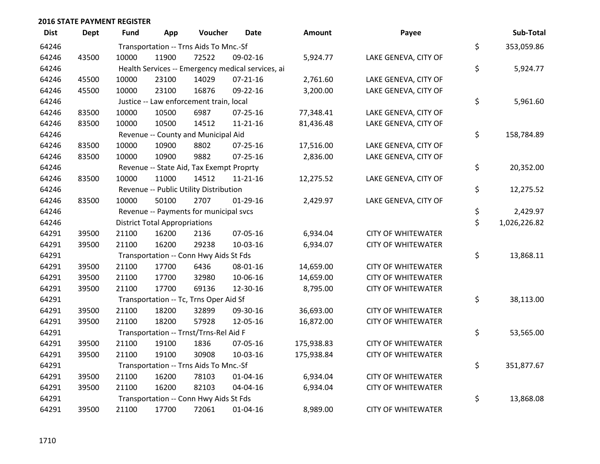| <b>Dist</b> | <b>Dept</b> | Fund                                   | App                                  | Voucher                                           | <b>Date</b>    | Amount     | Payee                     | Sub-Total          |
|-------------|-------------|----------------------------------------|--------------------------------------|---------------------------------------------------|----------------|------------|---------------------------|--------------------|
| 64246       |             | Transportation -- Trns Aids To Mnc.-Sf |                                      | \$<br>353,059.86                                  |                |            |                           |                    |
| 64246       | 43500       | 10000                                  | 11900                                | 72522                                             | 09-02-16       | 5,924.77   | LAKE GENEVA, CITY OF      |                    |
| 64246       |             |                                        |                                      | Health Services -- Emergency medical services, ai |                |            |                           | \$<br>5,924.77     |
| 64246       | 45500       | 10000                                  | 23100                                | 14029                                             | $07 - 21 - 16$ | 2,761.60   | LAKE GENEVA, CITY OF      |                    |
| 64246       | 45500       | 10000                                  | 23100                                | 16876                                             | 09-22-16       | 3,200.00   | LAKE GENEVA, CITY OF      |                    |
| 64246       |             |                                        |                                      | Justice -- Law enforcement train, local           |                |            |                           | \$<br>5,961.60     |
| 64246       | 83500       | 10000                                  | 10500                                | 6987                                              | $07 - 25 - 16$ | 77,348.41  | LAKE GENEVA, CITY OF      |                    |
| 64246       | 83500       | 10000                                  | 10500                                | 14512                                             | 11-21-16       | 81,436.48  | LAKE GENEVA, CITY OF      |                    |
| 64246       |             |                                        |                                      | Revenue -- County and Municipal Aid               |                |            |                           | \$<br>158,784.89   |
| 64246       | 83500       | 10000                                  | 10900                                | 8802                                              | $07 - 25 - 16$ | 17,516.00  | LAKE GENEVA, CITY OF      |                    |
| 64246       | 83500       | 10000                                  | 10900                                | 9882                                              | $07 - 25 - 16$ | 2,836.00   | LAKE GENEVA, CITY OF      |                    |
| 64246       |             |                                        |                                      | Revenue -- State Aid, Tax Exempt Proprty          |                |            |                           | \$<br>20,352.00    |
| 64246       | 83500       | 10000                                  | 11000                                | 14512                                             | $11 - 21 - 16$ | 12,275.52  | LAKE GENEVA, CITY OF      |                    |
| 64246       |             |                                        |                                      | Revenue -- Public Utility Distribution            |                |            |                           | \$<br>12,275.52    |
| 64246       | 83500       | 10000                                  | 50100                                | 2707                                              | $01-29-16$     | 2,429.97   | LAKE GENEVA, CITY OF      |                    |
| 64246       |             |                                        |                                      | Revenue -- Payments for municipal svcs            |                |            |                           | \$<br>2,429.97     |
| 64246       |             |                                        | <b>District Total Appropriations</b> |                                                   |                |            |                           | \$<br>1,026,226.82 |
| 64291       | 39500       | 21100                                  | 16200                                | 2136                                              | 07-05-16       | 6,934.04   | <b>CITY OF WHITEWATER</b> |                    |
| 64291       | 39500       | 21100                                  | 16200                                | 29238                                             | 10-03-16       | 6,934.07   | <b>CITY OF WHITEWATER</b> |                    |
| 64291       |             |                                        |                                      | Transportation -- Conn Hwy Aids St Fds            |                |            |                           | \$<br>13,868.11    |
| 64291       | 39500       | 21100                                  | 17700                                | 6436                                              | 08-01-16       | 14,659.00  | <b>CITY OF WHITEWATER</b> |                    |
| 64291       | 39500       | 21100                                  | 17700                                | 32980                                             | 10-06-16       | 14,659.00  | <b>CITY OF WHITEWATER</b> |                    |
| 64291       | 39500       | 21100                                  | 17700                                | 69136                                             | 12-30-16       | 8,795.00   | <b>CITY OF WHITEWATER</b> |                    |
| 64291       |             |                                        |                                      | Transportation -- Tc, Trns Oper Aid Sf            |                |            |                           | \$<br>38,113.00    |
| 64291       | 39500       | 21100                                  | 18200                                | 32899                                             | 09-30-16       | 36,693.00  | <b>CITY OF WHITEWATER</b> |                    |
| 64291       | 39500       | 21100                                  | 18200                                | 57928                                             | 12-05-16       | 16,872.00  | <b>CITY OF WHITEWATER</b> |                    |
| 64291       |             |                                        |                                      | Transportation -- Trnst/Trns-Rel Aid F            |                |            |                           | \$<br>53,565.00    |
| 64291       | 39500       | 21100                                  | 19100                                | 1836                                              | 07-05-16       | 175,938.83 | <b>CITY OF WHITEWATER</b> |                    |
| 64291       | 39500       | 21100                                  | 19100                                | 30908                                             | 10-03-16       | 175,938.84 | <b>CITY OF WHITEWATER</b> |                    |
| 64291       |             |                                        |                                      | Transportation -- Trns Aids To Mnc.-Sf            |                |            |                           | \$<br>351,877.67   |
| 64291       | 39500       | 21100                                  | 16200                                | 78103                                             | $01 - 04 - 16$ | 6,934.04   | <b>CITY OF WHITEWATER</b> |                    |
| 64291       | 39500       | 21100                                  | 16200                                | 82103                                             | 04-04-16       | 6,934.04   | <b>CITY OF WHITEWATER</b> |                    |
| 64291       |             |                                        |                                      | Transportation -- Conn Hwy Aids St Fds            |                |            |                           | \$<br>13,868.08    |
| 64291       | 39500       | 21100                                  | 17700                                | 72061                                             | $01 - 04 - 16$ | 8,989.00   | <b>CITY OF WHITEWATER</b> |                    |